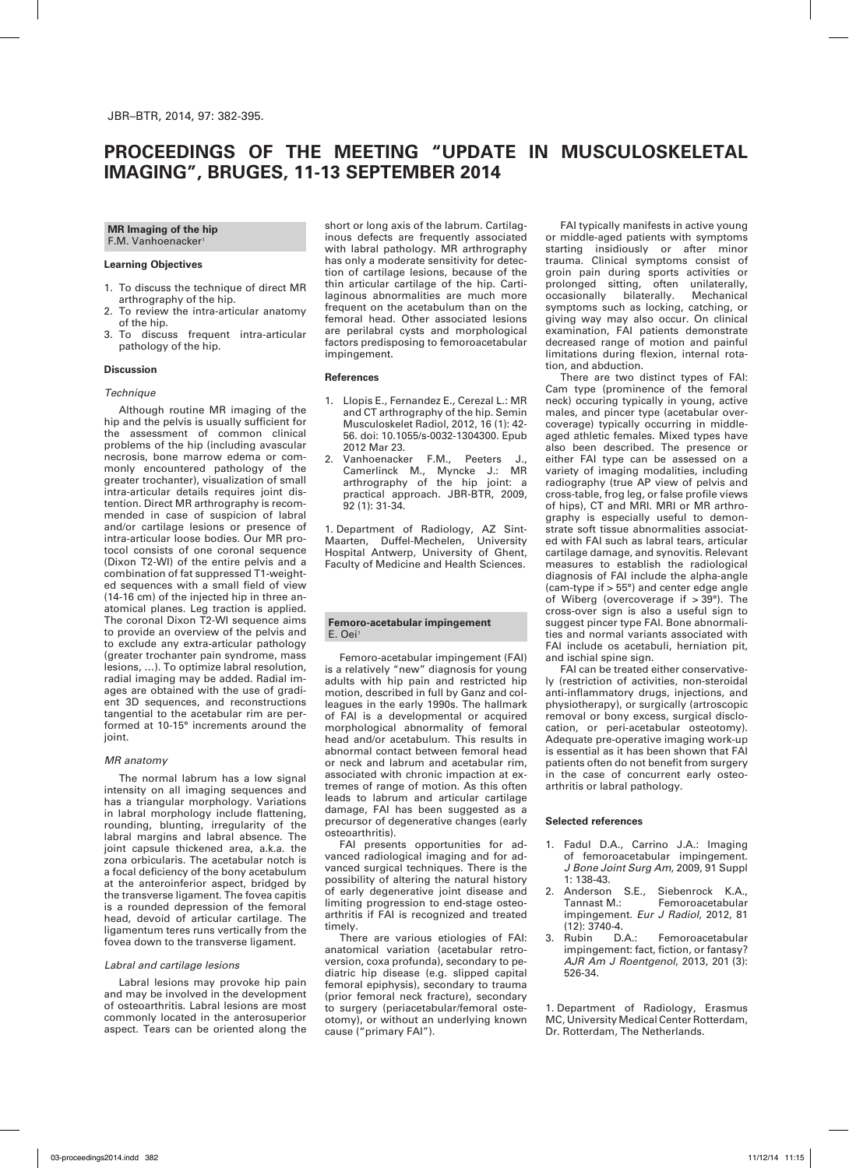# **PROCEEDINGS OF THE MEETING "UPDATE IN MUSCULOSKELETAL IMAGING", BRUGES, 11-13 SEPTEMBER 2014**

**MR Imaging of the hip** F.M. Vanhoenacker<sup>1</sup>

## **Learning Objectives**

- 1. To discuss the technique of direct MR arthrography of the hip.
- 2. To review the intra-articular anatomy of the hip.
- 3. To discuss frequent intra-articular pathology of the hip.

## **Discussion**

#### *Technique*

Although routine MR imaging of the hip and the pelvis is usually sufficient for the assessment of common clinical problems of the hip (including avascular necrosis, bone marrow edema or commonly encountered pathology of the greater trochanter), visualization of small intra-articular details requires joint distention. Direct MR arthrography is recommended in case of suspicion of labral and/or cartilage lesions or presence of intra-articular loose bodies. Our MR protocol consists of one coronal sequence (Dixon T2-WI) of the entire pelvis and a combination of fat suppressed T1-weighted sequences with a small field of view (14-16 cm) of the injected hip in three anatomical planes. Leg traction is applied. The coronal Dixon T2-WI sequence aims to provide an overview of the pelvis and to exclude any extra-articular pathology (greater trochanter pain syndrome, mass lesions, …). To optimize labral resolution, radial imaging may be added. Radial images are obtained with the use of gradient 3D sequences, and reconstructions tangential to the acetabular rim are performed at 10-15° increments around the joint.

## *MR anatomy*

The normal labrum has a low signal intensity on all imaging sequences and has a triangular morphology. Variations in labral morphology include flattening, rounding, blunting, irregularity of the labral margins and labral absence. The joint capsule thickened area, a.k.a. the zona orbicularis. The acetabular notch is a focal deficiency of the bony acetabulum at the anteroinferior aspect, bridged by the transverse ligament. The fovea capitis is a rounded depression of the femoral head, devoid of articular cartilage. The ligamentum teres runs vertically from the fovea down to the transverse ligament.

## *Labral and cartilage lesions*

Labral lesions may provoke hip pain and may be involved in the development of osteoarthritis. Labral lesions are most commonly located in the anterosuperior aspect. Tears can be oriented along the

short or long axis of the labrum. Cartilaginous defects are frequently associated with labral pathology. MR arthrography has only a moderate sensitivity for detection of cartilage lesions, because of the thin articular cartilage of the hip. Cartilaginous abnormalities are much more frequent on the acetabulum than on the femoral head. Other associated lesions are perilabral cysts and morphological factors predisposing to femoroacetabular impingement.

## **References**

- 1. Llopis E., Fernandez E., Cerezal L.: MR and CT arthrography of the hip. Semin Musculoskelet Radiol, 2012, 16 (1): 42- 56. doi: 10.1055/s-0032-1304300. Epub 2012 Mar 23.
- 2. Vanhoenacker F.M., Peeters Camerlinck M., Myncke J.: MR arthrography of the hip joint: a practical approach. JBR-BTR, 2009, 92 (1): 31-34.

1. Department of Radiology, AZ Sint-Maarten, Duffel-Mechelen, University Hospital Antwerp, University of Ghent, Faculty of Medicine and Health Sciences.

## **Femoro-acetabular impingement** E. Oei<sup>1</sup>

Femoro-acetabular impingement (FAI) is a relatively "new" diagnosis for young adults with hip pain and restricted hip motion, described in full by Ganz and colleagues in the early 1990s. The hallmark of FAI is a developmental or acquired morphological abnormality of femoral head and/or acetabulum. This results in abnormal contact between femoral head or neck and labrum and acetabular rim, associated with chronic impaction at extremes of range of motion. As this often leads to labrum and articular cartilage damage, FAI has been suggested as a precursor of degenerative changes (early osteoarthritis).

FAI presents opportunities for advanced radiological imaging and for advanced surgical techniques. There is the possibility of altering the natural history of early degenerative joint disease and limiting progression to end-stage osteoarthritis if FAI is recognized and treated timely.

There are various etiologies of FAI: anatomical variation (acetabular retroversion, coxa profunda), secondary to pediatric hip disease (e.g. slipped capital femoral epiphysis), secondary to trauma (prior femoral neck fracture), secondary to surgery (periacetabular/femoral osteotomy), or without an underlying known cause ("primary FAI").

FAI typically manifests in active young or middle-aged patients with symptoms starting insidiously or after minor trauma. Clinical symptoms consist of groin pain during sports activities or prolonged sitting, often unilaterally,<br>occasionally bilaterally. Mechanical occasionally bilaterally. symptoms such as locking, catching, or giving way may also occur. On clinical examination, FAI patients demonstrate decreased range of motion and painful limitations during flexion, internal rotation, and abduction.

There are two distinct types of FAI: Cam type (prominence of the femoral neck) occuring typically in young, active males, and pincer type (acetabular overcoverage) typically occurring in middleaged athletic females. Mixed types have also been described. The presence or either FAI type can be assessed on a variety of imaging modalities, including radiography (true AP view of pelvis and cross-table, frog leg, or false profile views of hips), CT and MRI. MRI or MR arthrography is especially useful to demonstrate soft tissue abnormalities associated with FAI such as labral tears, articular cartilage damage, and synovitis. Relevant measures to establish the radiological diagnosis of FAI include the alpha-angle (cam-type if > 55°) and center edge angle of Wiberg (overcoverage if  $>$  39°). The cross-over sign is also a useful sign to suggest pincer type FAI. Bone abnormalities and normal variants associated with FAI include os acetabuli, herniation pit, and ischial spine sign.

FAI can be treated either conservatively (restriction of activities, non-steroidal anti-inflammatory drugs, injections, and physiotherapy), or surgically (artroscopic removal or bony excess, surgical disclocation, or peri-acetabular osteotomy). Adequate pre-operative imaging work-up is essential as it has been shown that FAI patients often do not benefit from surgery in the case of concurrent early osteoarthritis or labral pathology.

## **Selected references**

- 1. Fadul D.A., Carrino J.A.: Imaging of femoroacetabular impingement. *J Bone Joint Surg Am*, 2009, 91 Suppl 1: 138-43.
- 2. Anderson S.E., Siebenrock K.A., Tannast M.: Femoroacetabular impingement. *Eur J Radiol*, 2012, 81 (12): 3740-4.
- Femoroacetabular impingement: fact, fiction, or fantasy? *AJR Am J Roentgenol*, 2013, 201 (3): 526-34.

1. Department of Radiology, Erasmus MC, University Medical Center Rotterdam, Dr. Rotterdam, The Netherlands.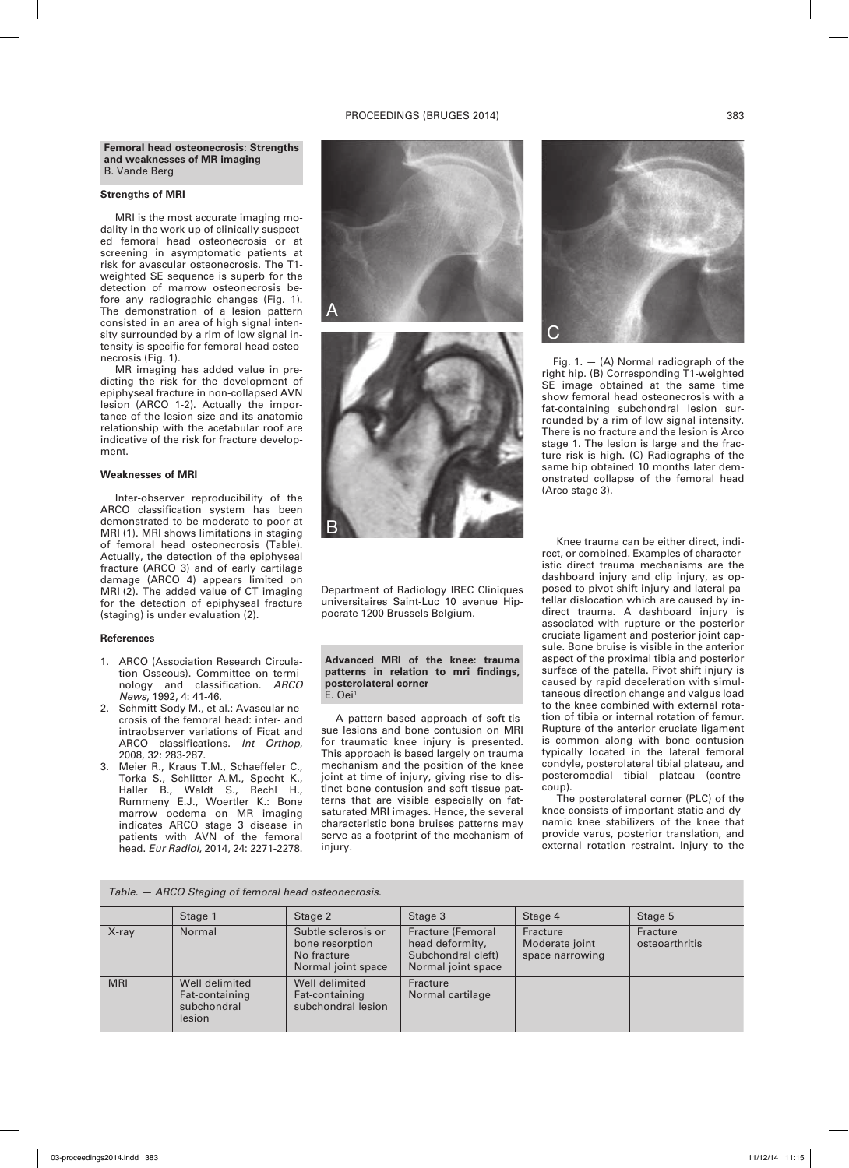## PROCEEDINGS (BRUGES 2014) 383

## **Strengths of MRI**

MRI is the most accurate imaging modality in the work-up of clinically suspected femoral head osteonecrosis or at screening in asymptomatic patients at risk for avascular osteonecrosis. The T1 weighted SE sequence is superb for the detection of marrow osteonecrosis before any radiographic changes (Fig. 1). The demonstration of a lesion pattern consisted in an area of high signal intensity surrounded by a rim of low signal intensity is specific for femoral head osteonecrosis (Fig. 1).

MR imaging has added value in predicting the risk for the development of epiphyseal fracture in non-collapsed AVN lesion (ARCO 1-2). Actually the importance of the lesion size and its anatomic relationship with the acetabular roof are indicative of the risk for fracture development.

## **Weaknesses of MRI**

Inter-observer reproducibility of the ARCO classification system has been demonstrated to be moderate to poor at MRI (1). MRI shows limitations in staging of femoral head osteonecrosis (Table). Actually, the detection of the epiphyseal fracture (ARCO 3) and of early cartilage damage (ARCO 4) appears limited on MRI (2). The added value of CT imaging for the detection of epiphyseal fracture (staging) is under evaluation (2).

## **References**

- 1. ARCO (Association Research Circulation Osseous). Committee on terminology and classification. *ARCO News*, 1992, 4: 41-46.
- 2. Schmitt-Sody M., et al.: Avascular necrosis of the femoral head: inter- and intraobserver variations of Ficat and ARCO classifications. *Int Orthop*, 2008, 32: 283-287.
- 3. Meier R., Kraus T.M., Schaeffeler C., Torka S., Schlitter A.M., Specht K., Haller B., Waldt S., Rechl H., Rummeny E.J., Woertler K.: Bone marrow oedema on MR imaging indicates ARCO stage 3 disease in patients with AVN of the femoral head. *Eur Radiol*, 2014, 24: 2271-2278.





Department of Radiology IREC Cliniques universitaires Saint-Luc 10 avenue Hippocrate 1200 Brussels Belgium.

**Advanced MRI of the knee: trauma patterns in relation to mri findings, posterolateral corner**  $F$ . Oei<sup>1</sup>

A pattern-based approach of soft-tissue lesions and bone contusion on MRI for traumatic knee injury is presented. This approach is based largely on trauma mechanism and the position of the knee joint at time of injury, giving rise to distinct bone contusion and soft tissue patterns that are visible especially on fatsaturated MRI images. Hence, the several characteristic bone bruises patterns may serve as a footprint of the mechanism of injury.



Fig. 1.  $-$  (A) Normal radiograph of the right hip. (B) Corresponding T1-weighted SE image obtained at the same time show femoral head osteonecrosis with a fat-containing subchondral lesion surrounded by a rim of low signal intensity. There is no fracture and the lesion is Arco stage 1. The lesion is large and the fracture risk is high. (C) Radiographs of the same hip obtained 10 months later demonstrated collapse of the femoral head (Arco stage 3).

Knee trauma can be either direct, indirect, or combined. Examples of characteristic direct trauma mechanisms are the dashboard injury and clip injury, as opposed to pivot shift injury and lateral patellar dislocation which are caused by indirect trauma. A dashboard injury is associated with rupture or the posterior cruciate ligament and posterior joint capsule. Bone bruise is visible in the anterior aspect of the proximal tibia and posterior surface of the patella. Pivot shift injury is caused by rapid deceleration with simultaneous direction change and valgus load to the knee combined with external rotation of tibia or internal rotation of femur. Rupture of the anterior cruciate ligament is common along with bone contusion typically located in the lateral femoral condyle, posterolateral tibial plateau, and posteromedial tibial plateau (contrecoup).

The posterolateral corner (PLC) of the knee consists of important static and dynamic knee stabilizers of the knee that provide varus, posterior translation, and external rotation restraint. Injury to the

|  |  |  | Table. - ARCO Staging of femoral head osteonecrosis. |
|--|--|--|------------------------------------------------------|
|  |  |  |                                                      |

|            | Stage 1                                                   | Stage 2                                                                     | Stage 3                                                                                 | Stage 4                                       | Stage 5                    |
|------------|-----------------------------------------------------------|-----------------------------------------------------------------------------|-----------------------------------------------------------------------------------------|-----------------------------------------------|----------------------------|
| $X$ -ray   | Normal                                                    | Subtle sclerosis or<br>bone resorption<br>No fracture<br>Normal joint space | <b>Fracture (Femoral</b><br>head deformity,<br>Subchondral cleft)<br>Normal joint space | Fracture<br>Moderate joint<br>space narrowing | Fracture<br>osteoarthritis |
| <b>MRI</b> | Well delimited<br>Fat-containing<br>subchondral<br>lesion | Well delimited<br>Fat-containing<br>subchondral lesion                      | Fracture<br>Normal cartilage                                                            |                                               |                            |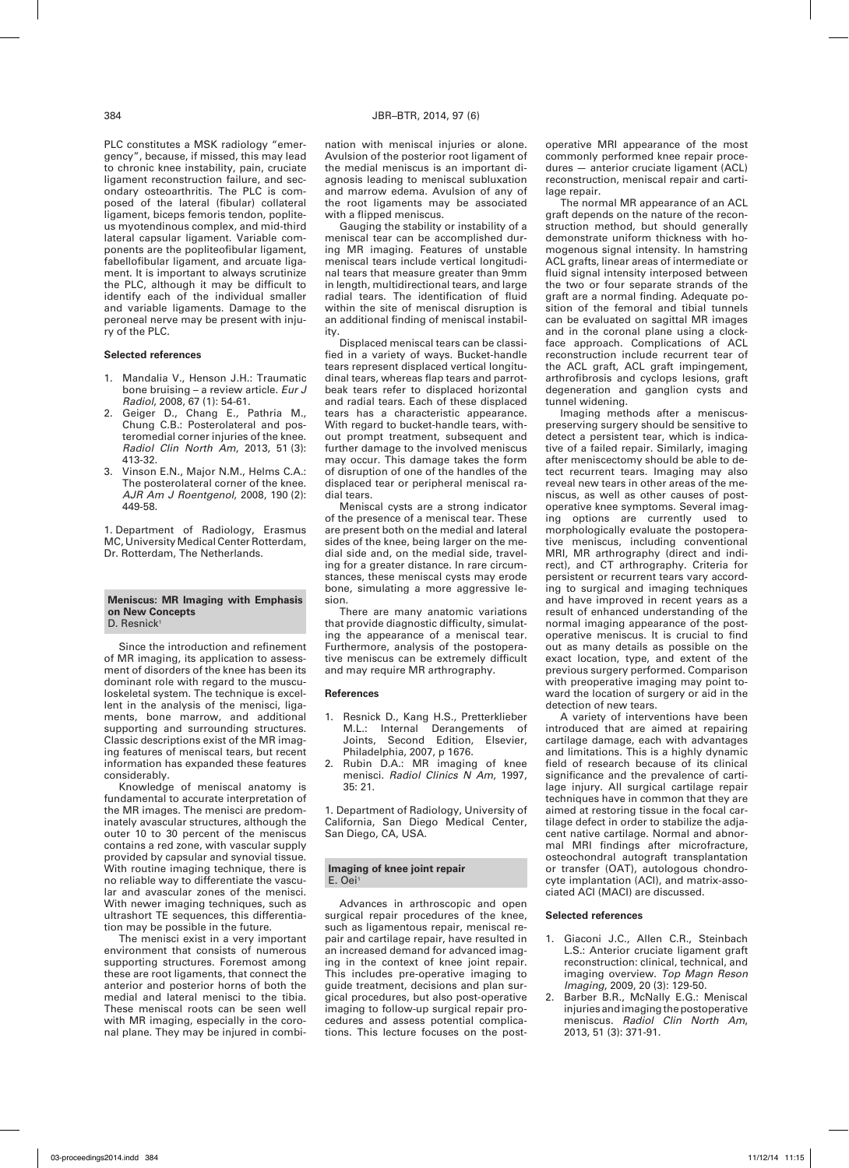lateral capsular ligament. Variable components are the popliteofibular ligament, fabellofibular ligament, and arcuate ligament. It is important to always scrutinize the PLC, although it may be difficult to identify each of the individual smaller and variable ligaments. Damage to the peroneal nerve may be present with injury of the PLC.

## **Selected references**

- 1. Mandalia V., Henson J.H.: Traumatic bone bruising – a review article. *Eur J Radiol*, 2008, 67 (1): 54-61.
- 2. Geiger D., Chang E., Pathria M., Chung C.B.: Posterolateral and posteromedial corner injuries of the knee. *Radiol Clin North Am*, 2013, 51 (3): 413-32.
- 3. Vinson E.N., Major N.M., Helms C.A.: The posterolateral corner of the knee. *AJR Am J Roentgenol*, 2008, 190 (2): 449-58.

1. Department of Radiology, Erasmus MC, University Medical Center Rotterdam, Dr. Rotterdam, The Netherlands.

## **Meniscus: MR Imaging with Emphasis on New Concepts** D. Resnick<sup>1</sup>

Since the introduction and refinement of MR imaging, its application to assessment of disorders of the knee has been its dominant role with regard to the musculoskeletal system. The technique is excellent in the analysis of the menisci, ligaments, bone marrow, and additional supporting and surrounding structures. Classic descriptions exist of the MR imaging features of meniscal tears, but recent information has expanded these features considerably.

Knowledge of meniscal anatomy is fundamental to accurate interpretation of the MR images. The menisci are predominately avascular structures, although the outer 10 to 30 percent of the meniscus contains a red zone, with vascular supply provided by capsular and synovial tissue. With routine imaging technique, there is no reliable way to differentiate the vascular and avascular zones of the menisci. With newer imaging techniques, such as ultrashort TE sequences, this differentiation may be possible in the future.

The menisci exist in a very important environment that consists of numerous supporting structures. Foremost among these are root ligaments, that connect the anterior and posterior horns of both the medial and lateral menisci to the tibia. These meniscal roots can be seen well with MR imaging, especially in the coronal plane. They may be injured in combination with meniscal injuries or alone. Avulsion of the posterior root ligament of the medial meniscus is an important diagnosis leading to meniscal subluxation and marrow edema. Avulsion of any of the root ligaments may be associated with a flipped meniscus.

Gauging the stability or instability of a meniscal tear can be accomplished during MR imaging. Features of unstable meniscal tears include vertical longitudinal tears that measure greater than 9mm in length, multidirectional tears, and large radial tears. The identification of fluid within the site of meniscal disruption is an additional finding of meniscal instability.

Displaced meniscal tears can be classified in a variety of ways. Bucket-handle tears represent displaced vertical longitudinal tears, whereas flap tears and parrotbeak tears refer to displaced horizontal and radial tears. Each of these displaced tears has a characteristic appearance. With regard to bucket-handle tears, without prompt treatment, subsequent and further damage to the involved meniscus may occur. This damage takes the form of disruption of one of the handles of the displaced tear or peripheral meniscal radial tears.

Meniscal cysts are a strong indicator of the presence of a meniscal tear. These are present both on the medial and lateral sides of the knee, being larger on the medial side and, on the medial side, traveling for a greater distance. In rare circumstances, these meniscal cysts may erode bone, simulating a more aggressive lesion.

There are many anatomic variations that provide diagnostic difficulty, simulating the appearance of a meniscal tear. Furthermore, analysis of the postoperative meniscus can be extremely difficult and may require MR arthrography.

#### **References**

- 1. Resnick D., Kang H.S., Pretterklieber M.L.: Internal Derangements of Joints, Second Edition, Elsevier, Philadelphia, 2007, p 1676.
- 2. Rubin D.A.: MR imaging of knee menisci. *Radiol Clinics N Am*, 1997, 35: 21.

1. Department of Radiology, University of California, San Diego Medical Center, San Diego, CA, USA.

#### **Imaging of knee joint repair** E. Oei1

Advances in arthroscopic and open surgical repair procedures of the knee, such as ligamentous repair, meniscal repair and cartilage repair, have resulted in an increased demand for advanced imaging in the context of knee joint repair. This includes pre-operative imaging to guide treatment, decisions and plan surgical procedures, but also post-operative imaging to follow-up surgical repair procedures and assess potential complications. This lecture focuses on the postoperative MRI appearance of the most commonly performed knee repair procedures — anterior cruciate ligament (ACL) reconstruction, meniscal repair and cartilage repair.

The normal MR appearance of an ACL graft depends on the nature of the reconstruction method, but should generally demonstrate uniform thickness with homogenous signal intensity. In hamstring ACL grafts, linear areas of intermediate or fluid signal intensity interposed between the two or four separate strands of the graft are a normal finding. Adequate position of the femoral and tibial tunnels can be evaluated on sagittal MR images and in the coronal plane using a clockface approach. Complications of ACL reconstruction include recurrent tear of the ACL graft, ACL graft impingement, arthrofibrosis and cyclops lesions, graft degeneration and ganglion cysts and tunnel widening.

Imaging methods after a meniscuspreserving surgery should be sensitive to detect a persistent tear, which is indicative of a failed repair. Similarly, imaging after meniscectomy should be able to detect recurrent tears. Imaging may also reveal new tears in other areas of the meniscus, as well as other causes of postoperative knee symptoms. Several imaging options are currently used to morphologically evaluate the postoperative meniscus, including conventional MRI, MR arthrography (direct and indirect), and CT arthrography. Criteria for persistent or recurrent tears vary according to surgical and imaging techniques and have improved in recent years as a result of enhanced understanding of the normal imaging appearance of the postoperative meniscus. It is crucial to find out as many details as possible on the exact location, type, and extent of the previous surgery performed. Comparison with preoperative imaging may point toward the location of surgery or aid in the detection of new tears.

A variety of interventions have been introduced that are aimed at repairing cartilage damage, each with advantages and limitations. This is a highly dynamic field of research because of its clinical significance and the prevalence of cartilage injury. All surgical cartilage repair techniques have in common that they are aimed at restoring tissue in the focal cartilage defect in order to stabilize the adjacent native cartilage. Normal and abnormal MRI findings after microfracture, osteochondral autograft transplantation or transfer (OAT), autologous chondrocyte implantation (ACI), and matrix-associated ACI (MACI) are discussed.

#### **Selected references**

- Giaconi J.C., Allen C.R., Steinbach L.S.: Anterior cruciate ligament graft reconstruction: clinical, technical, and imaging overview. *Top Magn Reson Imaging*, 2009, 20 (3): 129-50.
- 2. Barber B.R., McNally E.G.: Meniscal injuries and imaging the postoperative meniscus. *Radiol Clin North Am*, 2013, 51 (3): 371-91.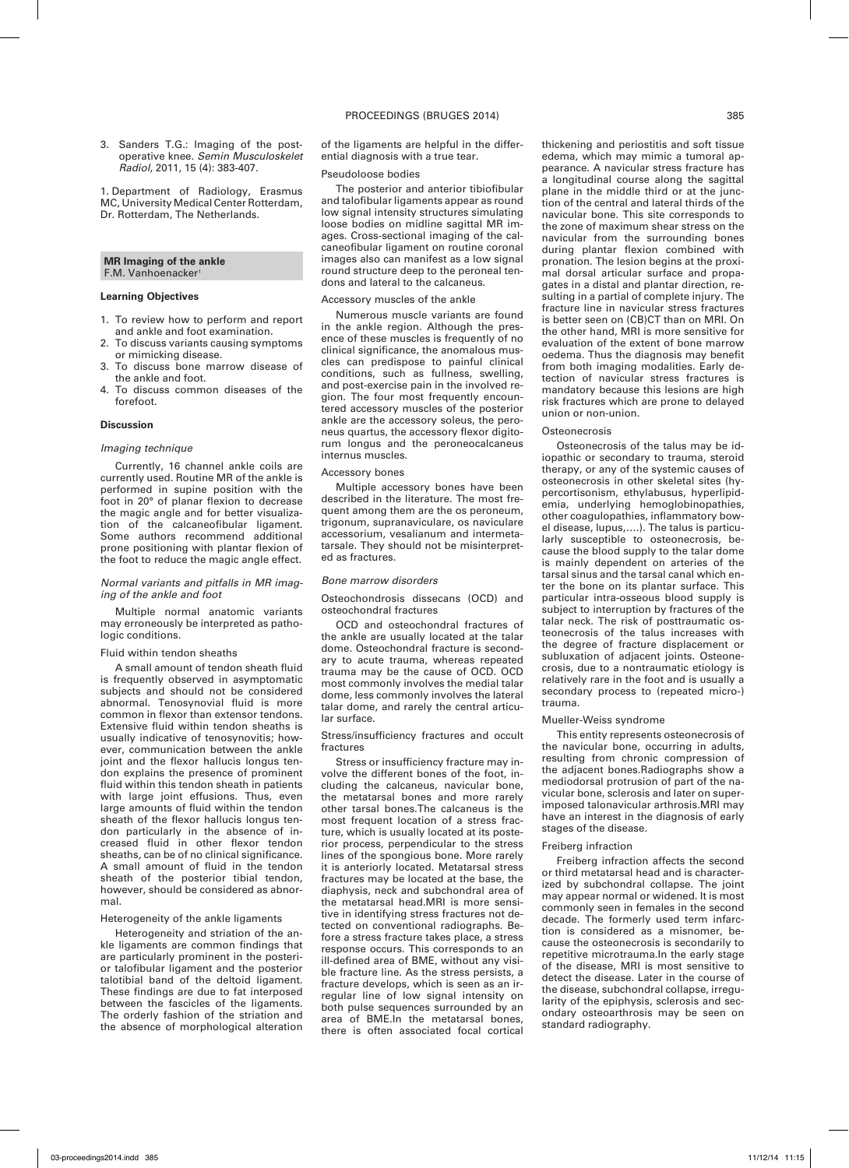3. Sanders T.G.: Imaging of the postoperative knee. *Semin Musculoskelet Radiol*, 2011, 15 (4): 383-407.

1. Department of Radiology, Erasmus MC, University Medical Center Rotterdam, Dr. Rotterdam, The Netherlands.

## **MR Imaging of the ankle** F.M. Vanhoenacker<sup>1</sup>

## **Learning Objectives**

- 1. To review how to perform and report and ankle and foot examination.
- 2. To discuss variants causing symptoms or mimicking disease.
- 3. To discuss bone marrow disease of the ankle and foot.
- 4. To discuss common diseases of the forefoot.

#### **Discussion**

## *Imaging technique*

Currently, 16 channel ankle coils are currently used. Routine MR of the ankle is performed in supine position with the foot in 20° of planar flexion to decrease the magic angle and for better visualization of the calcaneofibular ligament. Some authors recommend additional prone positioning with plantar flexion of the foot to reduce the magic angle effect.

## *Normal variants and pitfalls in MR imaging of the ankle and foot*

Multiple normal anatomic variants may erroneously be interpreted as pathologic conditions.

#### Fluid within tendon sheaths

A small amount of tendon sheath fluid is frequently observed in asymptomatic subjects and should not be considered abnormal. Tenosynovial fluid is more common in flexor than extensor tendons. Extensive fluid within tendon sheaths is usually indicative of tenosynovitis; however, communication between the ankle joint and the flexor hallucis longus tendon explains the presence of prominent fluid within this tendon sheath in patients with large joint effusions. Thus, even large amounts of fluid within the tendon sheath of the flexor hallucis longus tendon particularly in the absence of increased fluid in other flexor tendon sheaths, can be of no clinical significance. A small amount of fluid in the tendon sheath of the posterior tibial tendon, however, should be considered as abnormal.

#### Heterogeneity of the ankle ligaments

Heterogeneity and striation of the ankle ligaments are common findings that are particularly prominent in the posterior talofibular ligament and the posterior talotibial band of the deltoid ligament. These findings are due to fat interposed between the fascicles of the ligaments. The orderly fashion of the striation and the absence of morphological alteration

of the ligaments are helpful in the differential diagnosis with a true tear.

## Pseudoloose bodies

The posterior and anterior tibiofibular and talofibular ligaments appear as round low signal intensity structures simulating loose bodies on midline sagittal MR images. Cross-sectional imaging of the calcaneofibular ligament on routine coronal images also can manifest as a low signal round structure deep to the peroneal tendons and lateral to the calcaneus.

## Accessory muscles of the ankle

Numerous muscle variants are found in the ankle region. Although the presence of these muscles is frequently of no clinical significance, the anomalous muscles can predispose to painful clinical conditions, such as fullness, swelling, and post-exercise pain in the involved region. The four most frequently encountered accessory muscles of the posterior ankle are the accessory soleus, the peroneus quartus, the accessory flexor digitorum longus and the peroneocalcaneus internus muscles.

#### Accessory bones

Multiple accessory bones have been described in the literature. The most frequent among them are the os peroneum, trigonum, supranaviculare, os naviculare accessorium, vesalianum and intermetatarsale. They should not be misinterpreted as fractures.

#### *Bone marrow disorders*

Osteochondrosis dissecans (OCD) and osteochondral fractures

OCD and osteochondral fractures of the ankle are usually located at the talar dome. Osteochondral fracture is secondary to acute trauma, whereas repeated trauma may be the cause of OCD. OCD most commonly involves the medial talar dome, less commonly involves the lateral talar dome, and rarely the central articular surface.

#### Stress/insufficiency fractures and occult fractures

Stress or insufficiency fracture may involve the different bones of the foot, including the calcaneus, navicular bone, the metatarsal bones and more rarely other tarsal bones.The calcaneus is the most frequent location of a stress fracture, which is usually located at its posterior process, perpendicular to the stress lines of the spongious bone. More rarely it is anteriorly located. Metatarsal stress fractures may be located at the base, the diaphysis, neck and subchondral area of the metatarsal head.MRI is more sensitive in identifying stress fractures not detected on conventional radiographs. Before a stress fracture takes place, a stress response occurs. This corresponds to an ill-defined area of BME, without any visible fracture line. As the stress persists, a fracture develops, which is seen as an irregular line of low signal intensity on both pulse sequences surrounded by an area of BME.In the metatarsal bones, there is often associated focal cortical thickening and periostitis and soft tissue edema, which may mimic a tumoral appearance. A navicular stress fracture has a longitudinal course along the sagittal plane in the middle third or at the junction of the central and lateral thirds of the navicular bone. This site corresponds to the zone of maximum shear stress on the navicular from the surrounding bones during plantar flexion combined with pronation. The lesion begins at the proximal dorsal articular surface and propagates in a distal and plantar direction, resulting in a partial of complete injury. The fracture line in navicular stress fractures is better seen on (CB)CT than on MRI. On the other hand, MRI is more sensitive for evaluation of the extent of bone marrow oedema. Thus the diagnosis may benefit from both imaging modalities. Early detection of navicular stress fractures is mandatory because this lesions are high risk fractures which are prone to delayed union or non-union.

## **Osteonecrosis**

Osteonecrosis of the talus may be idiopathic or secondary to trauma, steroid therapy, or any of the systemic causes of osteonecrosis in other skeletal sites (hypercortisonism, ethylabusus, hyperlipidemia, underlying hemoglobinopathies, other coagulopathies, inflammatory bowel disease, lupus,….). The talus is particularly susceptible to osteonecrosis, because the blood supply to the talar dome is mainly dependent on arteries of the tarsal sinus and the tarsal canal which enter the bone on its plantar surface. This particular intra-osseous blood supply is subject to interruption by fractures of the talar neck. The risk of posttraumatic osteonecrosis of the talus increases with the degree of fracture displacement or subluxation of adjacent joints. Osteonecrosis, due to a nontraumatic etiology is relatively rare in the foot and is usually a secondary process to (repeated micro-) trauma.

## Mueller-Weiss syndrome

This entity represents osteonecrosis of the navicular bone, occurring in adults, resulting from chronic compression of the adjacent bones.Radiographs show a mediodorsal protrusion of part of the navicular bone, sclerosis and later on superimposed talonavicular arthrosis.MRI may have an interest in the diagnosis of early stages of the disease.

#### Freiberg infraction

Freiberg infraction affects the second or third metatarsal head and is characterized by subchondral collapse. The joint may appear normal or widened. It is most commonly seen in females in the second decade. The formerly used term infarction is considered as a misnomer, because the osteonecrosis is secondarily to repetitive microtrauma.In the early stage of the disease, MRI is most sensitive to detect the disease. Later in the course of the disease, subchondral collapse, irreqularity of the epiphysis, sclerosis and secondary osteoarthrosis may be seen on standard radiography.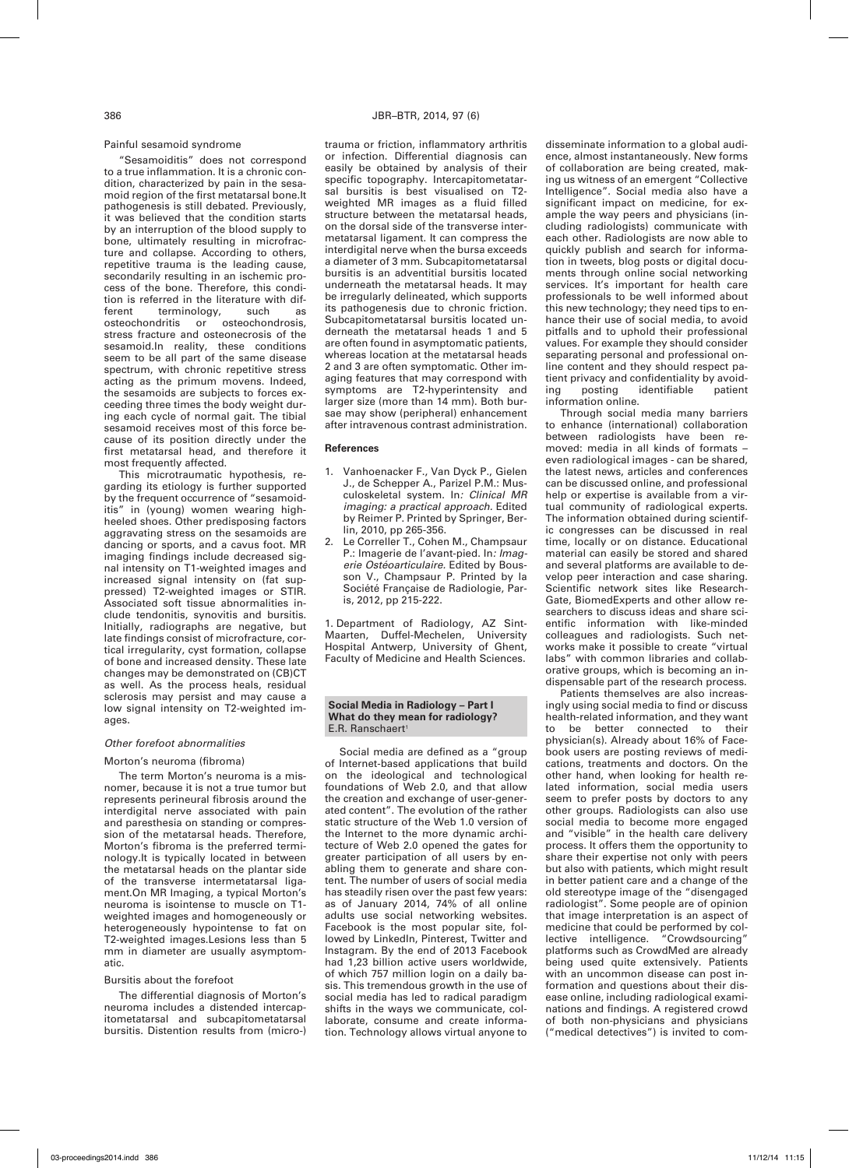## Painful sesamoid syndrome

"Sesamoiditis" does not correspond to a true inflammation. It is a chronic condition, characterized by pain in the sesamoid region of the first metatarsal bone.It pathogenesis is still debated. Previously, it was believed that the condition starts by an interruption of the blood supply to bone, ultimately resulting in microfracture and collapse. According to others, repetitive trauma is the leading cause, secondarily resulting in an ischemic process of the bone. Therefore, this condition is referred in the literature with dif-<br>ferent terminology. such as ferent terminology, such as<br>osteochondritis or osteochondrosis  $o<sub>st</sub>$   $o<sub>ch</sub>$  or  $o<sub>ch</sub>$ stress fracture and osteonecrosis of the sesamoid.In reality, these conditions seem to be all part of the same disease spectrum, with chronic repetitive stress acting as the primum movens. Indeed, the sesamoids are subjects to forces exceeding three times the body weight during each cycle of normal gait. The tibial sesamoid receives most of this force because of its position directly under the first metatarsal head, and therefore it most frequently affected.

This microtraumatic hypothesis, regarding its etiology is further supported by the frequent occurrence of "sesamoiditis" in (young) women wearing highheeled shoes. Other predisposing factors aggravating stress on the sesamoids are dancing or sports, and a cavus foot. MR imaging findings include decreased signal intensity on T1-weighted images and increased signal intensity on (fat suppressed) T2-weighted images or STIR. Associated soft tissue abnormalities include tendonitis, synovitis and bursitis. Initially, radiographs are negative, but late findings consist of microfracture, cortical irregularity, cyst formation, collapse of bone and increased density. These late changes may be demonstrated on (CB)CT as well. As the process heals, residual sclerosis may persist and may cause a low signal intensity on T2-weighted imanne

## *Other forefoot abnormalities*

## Morton's neuroma (fibroma)

The term Morton's neuroma is a misnomer, because it is not a true tumor but represents perineural fibrosis around the interdigital nerve associated with pain and paresthesia on standing or compression of the metatarsal heads. Therefore, Morton's fibroma is the preferred terminology.It is typically located in between the metatarsal heads on the plantar side of the transverse intermetatarsal ligament.On MR Imaging, a typical Morton's neuroma is isointense to muscle on T1 weighted images and homogeneously or heterogeneously hypointense to fat on T2-weighted images.Lesions less than 5 mm in diameter are usually asymptomatic.

## Bursitis about the forefoot

The differential diagnosis of Morton's neuroma includes a distended intercapitometatarsal and subcapitometatarsal bursitis. Distention results from (micro-) trauma or friction, inflammatory arthritis or infection. Differential diagnosis can easily be obtained by analysis of their specific topography. Intercapitometatarsal bursitis is best visualised on T2 weighted MR images as a fluid filled structure between the metatarsal heads, on the dorsal side of the transverse intermetatarsal ligament. It can compress the interdigital nerve when the bursa exceeds a diameter of 3 mm. Subcapitometatarsal bursitis is an adventitial bursitis located underneath the metatarsal heads. It may be irregularly delineated, which supports its pathogenesis due to chronic friction. Subcapitometatarsal bursitis located underneath the metatarsal heads 1 and 5 are often found in asymptomatic patients, whereas location at the metatarsal heads 2 and 3 are often symptomatic. Other imaging features that may correspond with symptoms are T2-hyperintensity and larger size (more than 14 mm). Both bursae may show (peripheral) enhancement after intravenous contrast administration.

#### **References**

- 1. Vanhoenacker F., Van Dyck P., Gielen J., de Schepper A., Parizel P.M.: Musculoskeletal system. In*: Clinical MR imaging: a practical approach.* Edited by Reimer P. Printed by Springer, Berlin, 2010, pp 265-356.
- 2. Le Correller T., Cohen M., Champsaur P.: Imagerie de l'avant-pied. In*: Imagerie Ostéoarticulaire.* Edited by Bousson V., Champsaur P. Printed by la Société Française de Radiologie, Paris, 2012, pp 215-222.

1. Department of Radiology, AZ Sint-Maarten, Duffel-Mechelen, University Hospital Antwerp, University of Ghent, Faculty of Medicine and Health Sciences.

#### **Social Media in Radiology – Part I What do they mean for radiology?** E.R. Ranschaert<sup>1</sup>

Social media are defined as a "group of Internet-based applications that build on the ideological and technological foundations of Web 2.0, and that allow the creation and exchange of user-generated content". The evolution of the rather static structure of the Web 1.0 version of the Internet to the more dynamic architecture of Web 2.0 opened the gates for greater participation of all users by enabling them to generate and share content. The number of users of social media has steadily risen over the past few years: as of January 2014, 74% of all online adults use social networking websites. Facebook is the most popular site, followed by LinkedIn, Pinterest, Twitter and Instagram. By the end of 2013 Facebook had 1,23 billion active users worldwide, of which 757 million login on a daily basis. This tremendous growth in the use of social media has led to radical paradigm shifts in the ways we communicate, collaborate, consume and create information. Technology allows virtual anyone to disseminate information to a global audience, almost instantaneously. New forms of collaboration are being created, making us witness of an emergent "Collective Intelligence". Social media also have a significant impact on medicine, for example the way peers and physicians (including radiologists) communicate with each other. Radiologists are now able to quickly publish and search for information in tweets, blog posts or digital documents through online social networking services. It's important for health care professionals to be well informed about this new technology; they need tips to enhance their use of social media, to avoid pitfalls and to uphold their professional values. For example they should consider separating personal and professional online content and they should respect patient privacy and confidentiality by avoiding posting identifiable patient information online.

Through social media many barriers to enhance (international) collaboration between radiologists have been removed: media in all kinds of formats – even radiological images - can be shared, the latest news, articles and conferences can be discussed online, and professional help or expertise is available from a virtual community of radiological experts. The information obtained during scientific congresses can be discussed in real time, locally or on distance. Educational material can easily be stored and shared and several platforms are available to develop peer interaction and case sharing. Scientific network sites like Research-Gate, BiomedExperts and other allow researchers to discuss ideas and share scientific information with like-minded colleagues and radiologists. Such networks make it possible to create "virtual labs" with common libraries and collaborative groups, which is becoming an indispensable part of the research process.

Patients themselves are also increasingly using social media to find or discuss health-related information, and they want to be better connected to their physician(s). Already about 16% of Facebook users are posting reviews of medications, treatments and doctors. On the other hand, when looking for health related information, social media users seem to prefer posts by doctors to any other groups. Radiologists can also use social media to become more engaged and "visible" in the health care delivery process. It offers them the opportunity to share their expertise not only with peers but also with patients, which might result in better patient care and a change of the old stereotype image of the "disengaged radiologist". Some people are of opinion that image interpretation is an aspect of medicine that could be performed by collective intelligence. "Crowdsourcing" platforms such as CrowdMed are already being used quite extensively. Patients with an uncommon disease can post information and questions about their disease online, including radiological examinations and findings. A registered crowd of both non-physicians and physicians ("medical detectives") is invited to com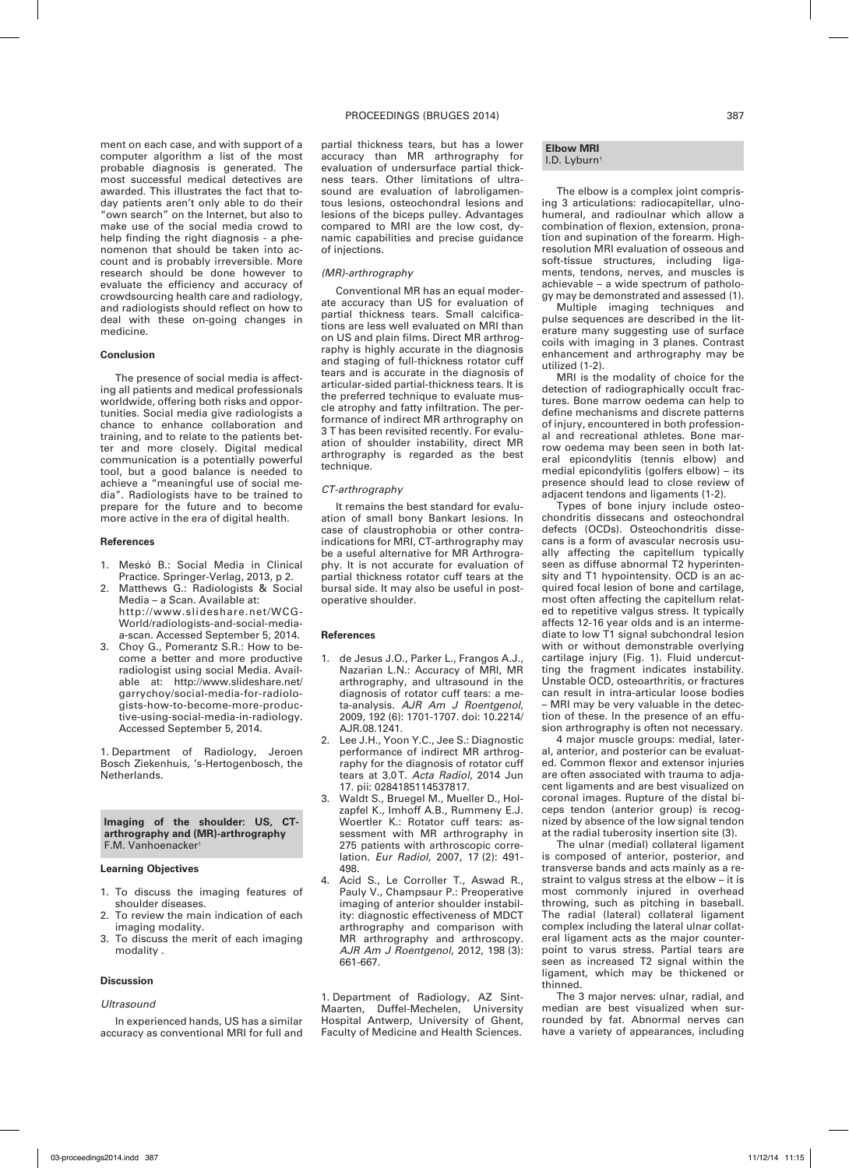ment on each case, and with support of a computer algorithm a list of the most probable diagnosis is generated. The most successful medical detectives are awarded. This illustrates the fact that today patients aren't only able to do their "own search" on the Internet, but also to make use of the social media crowd to help finding the right diagnosis - a phenomenon that should be taken into account and is probably irreversible. More research should be done however to evaluate the efficiency and accuracy of crowdsourcing health care and radiology, and radiologists should reflect on how to deal with these on-going changes in medicine.

## **Conclusion**

The presence of social media is affecting all patients and medical professionals worldwide, offering both risks and opportunities. Social media give radiologists a chance to enhance collaboration and training, and to relate to the patients better and more closely. Digital medical communication is a potentially powerful tool, but a good balance is needed to achieve a "meaningful use of social media". Radiologists have to be trained to prepare for the future and to become more active in the era of digital health.

#### **References**

- Meskó B.: Social Media in Clinical Practice. Springer-Verlag, 2013, p 2.
- 2. Matthews G. Radiologists & Social Media – a Scan. Available at: http://www.slideshare.net/WCG-World/radiologists-and-social-mediaa-scan. Accessed September 5, 2014.
- 3. Choy G., Pomerantz S.R.: How to become a better and more productive radiologist using social Media. Available at: http://www.slideshare.net/ garrychoy/social-media-for-radiologists-how-to-become-more-productive-using-social-media-in-radiology. Accessed September 5, 2014.

1. Department of Radiology, Jeroen Bosch Ziekenhuis, 's-Hertogenbosch, the Netherlands.

**Imaging of the shoulder: US, CTarthrography and (MR)-arthrography** F.M. Vanhoenacker<sup>1</sup>

## **Learning Objectives**

- 1. To discuss the imaging features of shoulder diseases.
- 2. To review the main indication of each imaging modality.
- 3. To discuss the merit of each imaging modality .

## **Discussion**

#### *Ultrasound*

In experienced hands, US has a similar accuracy as conventional MRI for full and partial thickness tears, but has a lower accuracy than MR arthrography for evaluation of undersurface partial thickness tears. Other limitations of ultrasound are evaluation of labroligamentous lesions, osteochondral lesions and lesions of the biceps pulley. Advantages compared to MRI are the low cost, dynamic capabilities and precise guidance of injections.

## *(MR)-arthrography*

Conventional MR has an equal moderate accuracy than US for evaluation of partial thickness tears. Small calcifications are less well evaluated on MRI than on US and plain films. Direct MR arthrography is highly accurate in the diagnosis and staging of full-thickness rotator cuff tears and is accurate in the diagnosis of articular-sided partial-thickness tears. It is the preferred technique to evaluate muscle atrophy and fatty infiltration. The performance of indirect MR arthrography on 3 T has been revisited recently. For evaluation of shoulder instability, direct MR arthrography is regarded as the best technique.

## *CT-arthrography*

It remains the best standard for evaluation of small bony Bankart lesions. In case of claustrophobia or other contraindications for MRI, CT-arthrography may be a useful alternative for MR Arthrography. It is not accurate for evaluation of partial thickness rotator cuff tears at the bursal side. It may also be useful in postoperative shoulder.

## **References**

- 1. de Jesus J.O., Parker L., Frangos A.J., Nazarian L.N.: Accuracy of MRI, MR arthrography, and ultrasound in the diagnosis of rotator cuff tears: a meta-analysis. *AJR Am J Roentgenol*, 2009, 192 (6): 1701-1707. doi: 10.2214/ AJR.08.1241.
- 2. Lee J.H., Yoon Y.C., Jee S.: Diagnostic performance of indirect MR arthrography for the diagnosis of rotator cuff tears at 3.0T. *Acta Radiol*, 2014 Jun 17. pii: 0284185114537817.
- 3. Waldt S., Bruegel M., Mueller D., Holzapfel K., Imhoff A.B., Rummeny E.J. Woertler K.: Rotator cuff tears: assessment with MR arthrography in 275 patients with arthroscopic correlation. *Eur Radiol*, 2007, 17 (2): 491- 498.
- 4. Acid S., Le Corroller T., Aswad R., Pauly V., Champsaur P.: Preoperative imaging of anterior shoulder instability: diagnostic effectiveness of MDCT arthrography and comparison with MR arthrography and arthroscopy. *AJR Am J Roentgenol*, 2012, 198 (3): 661-667.

1. Department of Radiology, AZ Sint-Maarten, Duffel-Mechelen, University Hospital Antwerp, University of Ghent, Faculty of Medicine and Health Sciences.

## **Elbow MRI** I.D. Lyburn<sup>1</sup>

The elbow is a complex joint comprising 3 articulations: radiocapitellar, ulnohumeral, and radioulnar which allow a combination of flexion, extension, pronation and supination of the forearm. Highresolution MRI evaluation of osseous and soft-tissue structures, including ligaments, tendons, nerves, and muscles is achievable – a wide spectrum of pathology may be demonstrated and assessed (1).

Multiple imaging techniques and pulse sequences are described in the literature many suggesting use of surface coils with imaging in 3 planes. Contrast enhancement and arthrography may be utilized (1-2).

MRI is the modality of choice for the detection of radiographically occult fractures. Bone marrow oedema can help to define mechanisms and discrete patterns of injury, encountered in both professional and recreational athletes. Bone marrow oedema may been seen in both lateral epicondylitis (tennis elbow) and medial epicondylitis (golfers elbow) – its presence should lead to close review of adjacent tendons and ligaments (1-2).

Types of bone injury include osteochondritis dissecans and osteochondral defects (OCDs). Osteochondritis dissecans is a form of avascular necrosis usually affecting the capitellum typically seen as diffuse abnormal T2 hyperintensity and T1 hypointensity. OCD is an acquired focal lesion of bone and cartilage, most often affecting the capitellum related to repetitive valgus stress. It typically affects 12-16 year olds and is an intermediate to low T1 signal subchondral lesion with or without demonstrable overlying cartilage injury (Fig. 1). Fluid undercutting the fragment indicates instability. Unstable OCD, osteoarthritis, or fractures can result in intra-articular loose bodies – MRI may be very valuable in the detection of these. In the presence of an effusion arthrography is often not necessary.

4 major muscle groups: medial, lateral, anterior, and posterior can be evaluated. Common flexor and extensor injuries are often associated with trauma to adjacent ligaments and are best visualized on coronal images. Rupture of the distal biceps tendon (anterior group) is recognized by absence of the low signal tendon at the radial tuberosity insertion site (3).

The ulnar (medial) collateral ligament is composed of anterior, posterior, and transverse bands and acts mainly as a restraint to valgus stress at the elbow – it is most commonly injured in overhead throwing, such as pitching in baseball. The radial (lateral) collateral ligament complex including the lateral ulnar collateral ligament acts as the major counterpoint to varus stress. Partial tears are seen as increased T2 signal within the ligament, which may be thickened or thinned.

The 3 major nerves: ulnar, radial, and median are best visualized when surrounded by fat. Abnormal nerves can have a variety of appearances, including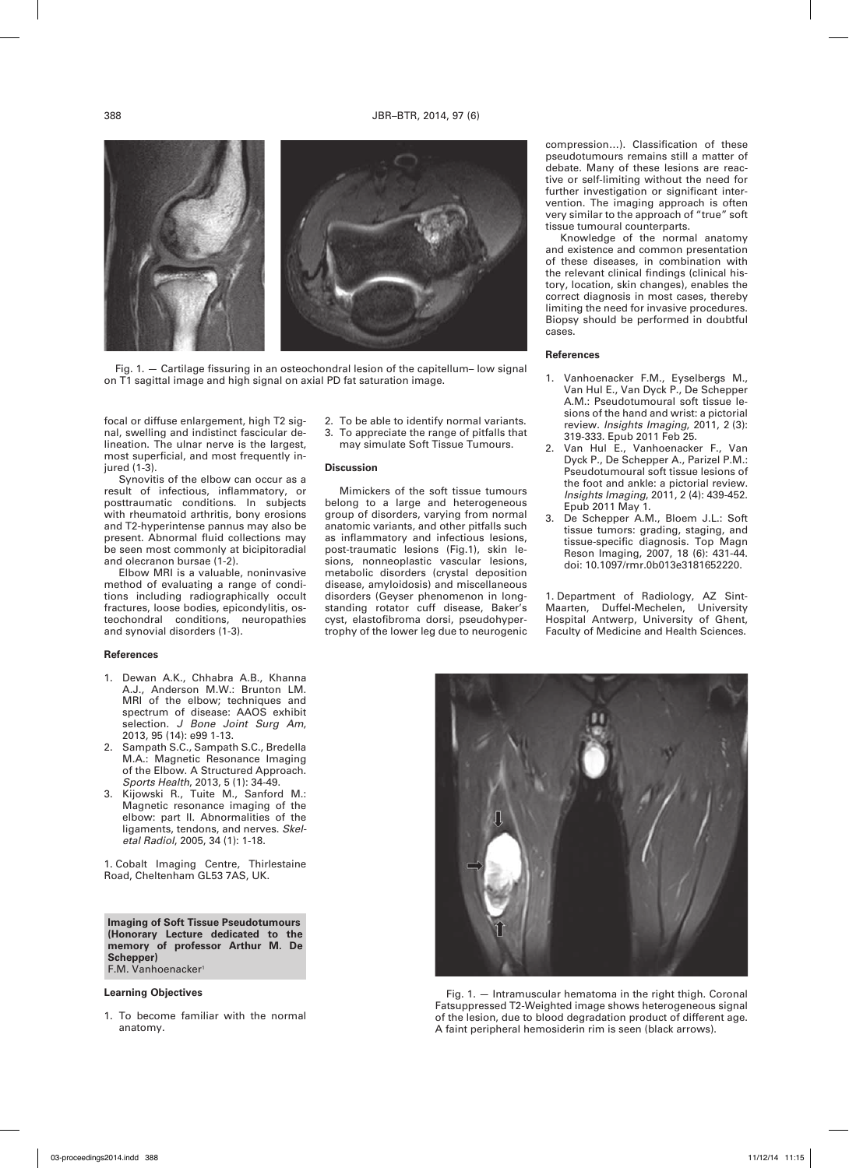

Fig. 1. — Cartilage fissuring in an osteochondral lesion of the capitellum– low signal on T1 sagittal image and high signal on axial PD fat saturation image.

focal or diffuse enlargement, high T2 signal, swelling and indistinct fascicular delineation. The ulnar nerve is the largest, most superficial, and most frequently injured (1-3).

Synovitis of the elbow can occur as a result of infectious, inflammatory, or posttraumatic conditions. In subjects with rheumatoid arthritis, bony erosions and T2-hyperintense pannus may also be present. Abnormal fluid collections may be seen most commonly at bicipitoradial and olecranon bursae (1-2).

Elbow MRI is a valuable, noninvasive method of evaluating a range of conditions including radiographically occult fractures, loose bodies, epicondylitis, osteochondral conditions, neuropathies and synovial disorders (1-3).

#### **References**

- Dewan A.K., Chhabra A.B., Khanna A.J., Anderson M.W.: Brunton LM. MRI of the elbow; techniques and spectrum of disease: AAOS exhibit selection. *J Bone Joint Surg Am*, 2013, 95 (14): e99 1-13.
- 2. Sampath S.C., Sampath S.C., Bredella M.A.: Magnetic Resonance Imaging of the Elbow. A Structured Approach. *Sports Health*, 2013, 5 (1): 34-49.
- Kijowski R., Tuite M., Sanford M.: Magnetic resonance imaging of the elbow: part II. Abnormalities of the ligaments, tendons, and nerves. *Skeletal Radiol*, 2005, 34 (1): 1-18.

1. Cobalt Imaging Centre, Thirlestaine Road, Cheltenham GL53 7AS, UK.

**Imaging of Soft Tissue Pseudotumours (Honorary Lecture dedicated to the memory of professor Arthur M. De Schepper)** F.M. Vanhoenacker

## **Learning Objectives**

1. To become familiar with the normal anatomy.

- 2. To be able to identify normal variants. 3. To appreciate the range of pitfalls that
- may simulate Soft Tissue Tumours.

#### **Discussion**

Mimickers of the soft tissue tumours belong to a large and heterogeneous group of disorders, varying from normal anatomic variants, and other pitfalls such as inflammatory and infectious lesions, post-traumatic lesions (Fig.1), skin lesions, nonneoplastic vascular lesions, metabolic disorders (crystal deposition disease, amyloidosis) and miscellaneous disorders (Geyser phenomenon in longstanding rotator cuff disease, Baker's cyst, elastofibroma dorsi, pseudohypertrophy of the lower leg due to neurogenic compression…). Classification of these pseudotumours remains still a matter of debate. Many of these lesions are reactive or self-limiting without the need for further investigation or significant intervention. The imaging approach is often very similar to the approach of "true" soft tissue tumoural counterparts.

Knowledge of the normal anatomy and existence and common presentation of these diseases, in combination with the relevant clinical findings (clinical history, location, skin changes), enables the correct diagnosis in most cases, thereby limiting the need for invasive procedures. Biopsy should be performed in doubtful cases.

## **References**

- 1. Vanhoenacker F.M., Eyselbergs M., Van Hul E., Van Dyck P., De Schepper A.M.: Pseudotumoural soft tissue lesions of the hand and wrist: a pictorial review. *Insights Imaging*, 2011, 2 (3): 319-333. Epub 2011 Feb 25.
- 2. Van Hul E., Vanhoenacker F., Van Dyck P., De Schepper A., Parizel P.M.: Pseudotumoural soft tissue lesions of the foot and ankle: a pictorial review. *Insights Imaging*, 2011, 2 (4): 439-452. Epub 2011 May 1.
- 3. De Schepper A.M., Bloem J.L.: Soft tissue tumors: grading, staging, and tissue-specific diagnosis. Top Magn Reson Imaging, 2007, 18 (6): 431-44. doi: 10.1097/rmr.0b013e3181652220.

1. Department of Radiology, AZ Sint-Maarten, Duffel-Mechelen, University Hospital Antwerp, University of Ghent, Faculty of Medicine and Health Sciences.



Fig. 1. — Intramuscular hematoma in the right thigh. Coronal Fatsuppressed T2-Weighted image shows heterogeneous signal of the lesion, due to blood degradation product of different age. A faint peripheral hemosiderin rim is seen (black arrows).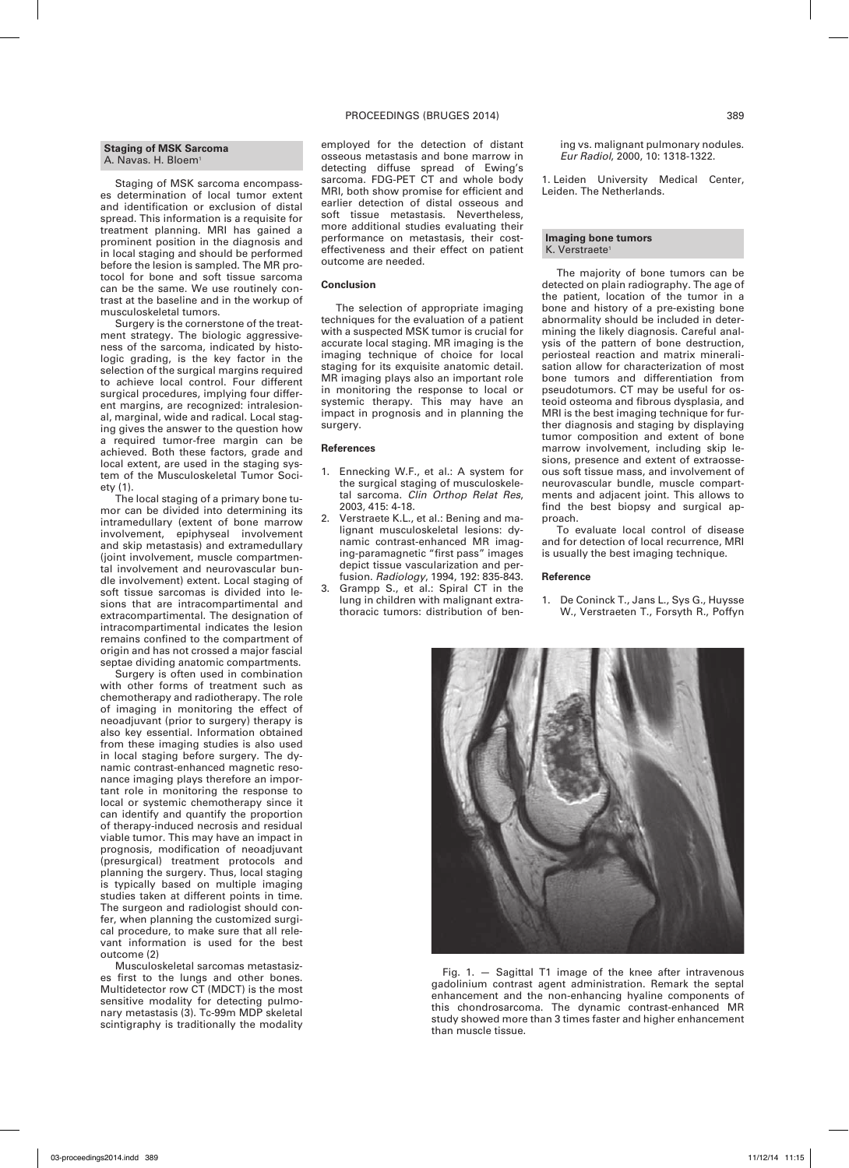## **Staging of MSK Sarcoma** A. Navas. H. Bloem<sup>1</sup>

Staging of MSK sarcoma encompasses determination of local tumor extent and identification or exclusion of distal spread. This information is a requisite for treatment planning. MRI has gained a prominent position in the diagnosis and in local staging and should be performed before the lesion is sampled. The MR protocol for bone and soft tissue sarcoma can be the same. We use routinely contrast at the baseline and in the workup of musculoskeletal tumors.

Surgery is the cornerstone of the treatment strategy. The biologic aggressiveness of the sarcoma, indicated by histologic grading, is the key factor in the selection of the surgical margins required to achieve local control. Four different surgical procedures, implying four different margins, are recognized: intralesional, marginal, wide and radical. Local staging gives the answer to the question how a required tumor-free margin can be achieved. Both these factors, grade and local extent, are used in the staging system of the Musculoskeletal Tumor Society (1).

The local staging of a primary bone tumor can be divided into determining its intramedullary (extent of bone marrow involvement, epiphyseal involvement and skip metastasis) and extramedullary (joint involvement, muscle compartmental involvement and neurovascular bundle involvement) extent. Local staging of soft tissue sarcomas is divided into lesions that are intracompartimental and extracompartimental. The designation of intracompartimental indicates the lesion remains confined to the compartment of origin and has not crossed a major fascial septae dividing anatomic compartments.

Surgery is often used in combination with other forms of treatment such as chemotherapy and radiotherapy. The role of imaging in monitoring the effect of neoadjuvant (prior to surgery) therapy is also key essential. Information obtained from these imaging studies is also used in local staging before surgery. The dynamic contrast-enhanced magnetic resonance imaging plays therefore an important role in monitoring the response to local or systemic chemotherapy since it can identify and quantify the proportion of therapy-induced necrosis and residual viable tumor. This may have an impact in prognosis, modification of neoadjuvant (presurgical) treatment protocols and planning the surgery. Thus, local staging is typically based on multiple imaging studies taken at different points in time. The surgeon and radiologist should confer, when planning the customized surgical procedure, to make sure that all relevant information is used for the best outcome (2)

Musculoskeletal sarcomas metastasizes first to the lungs and other bones. Multidetector row CT (MDCT) is the most sensitive modality for detecting pulmonary metastasis (3). Tc-99m MDP skeletal scintigraphy is traditionally the modality

## PROCEEDINGS (BRUGES 2014) 389

employed for the detection of distant osseous metastasis and bone marrow in detecting diffuse spread of Ewing's sarcoma. FDG-PET CT and whole body MRI, both show promise for efficient and earlier detection of distal osseous and soft tissue metastasis. Nevertheless, more additional studies evaluating their performance on metastasis, their costeffectiveness and their effect on patient outcome are needed.

## **Conclusion**

The selection of appropriate imaging techniques for the evaluation of a patient with a suspected MSK tumor is crucial for accurate local staging. MR imaging is the imaging technique of choice for local staging for its exquisite anatomic detail. MR imaging plays also an important role in monitoring the response to local or systemic therapy. This may have an impact in prognosis and in planning the surgery.

## **References**

- 1. Ennecking W.F., et al.: A system for the surgical staging of musculoskeletal sarcoma. *Clin Orthop Relat Res*, 2003, 415: 4-18.
- Verstraete K.L., et al.: Bening and malignant musculoskeletal lesions: dynamic contrast-enhanced MR imaging-paramagnetic "first pass" images depict tissue vascularization and perfusion. *Radiology*, 1994, 192: 835-843.
- 3. Grampp S., et al.: Spiral CT in the lung in children with malignant extrathoracic tumors: distribution of ben-

ing vs. malignant pulmonary nodules. *Eur Radiol*, 2000, 10: 1318-1322.

1. Leiden University Medical Center, Leiden. The Netherlands.

## **Imaging bone tumors** K. Verstraete

The majority of bone tumors can be detected on plain radiography. The age of the patient, location of the tumor in a bone and history of a pre-existing bone abnormality should be included in determining the likely diagnosis. Careful analysis of the pattern of bone destruction, periosteal reaction and matrix mineralisation allow for characterization of most bone tumors and differentiation from pseudotumors. CT may be useful for osteoid osteoma and fibrous dysplasia, and MRI is the best imaging technique for further diagnosis and staging by displaying tumor composition and extent of bone marrow involvement, including skip lesions, presence and extent of extraosseous soft tissue mass, and involvement of neurovascular bundle, muscle compartments and adjacent joint. This allows to find the best biopsy and surgical approach.

To evaluate local control of disease and for detection of local recurrence, MRI is usually the best imaging technique.

## **Reference**

1. De Coninck T., Jans L., Sys G., Huysse W., Verstraeten T., Forsyth R., Poffyn

Fig. 1. — Sagittal T1 image of the knee after intravenous gadolinium contrast agent administration. Remark the septal enhancement and the non-enhancing hyaline components of this chondrosarcoma. The dynamic contrast-enhanced MR study showed more than 3 times faster and higher enhancement than muscle tissue.

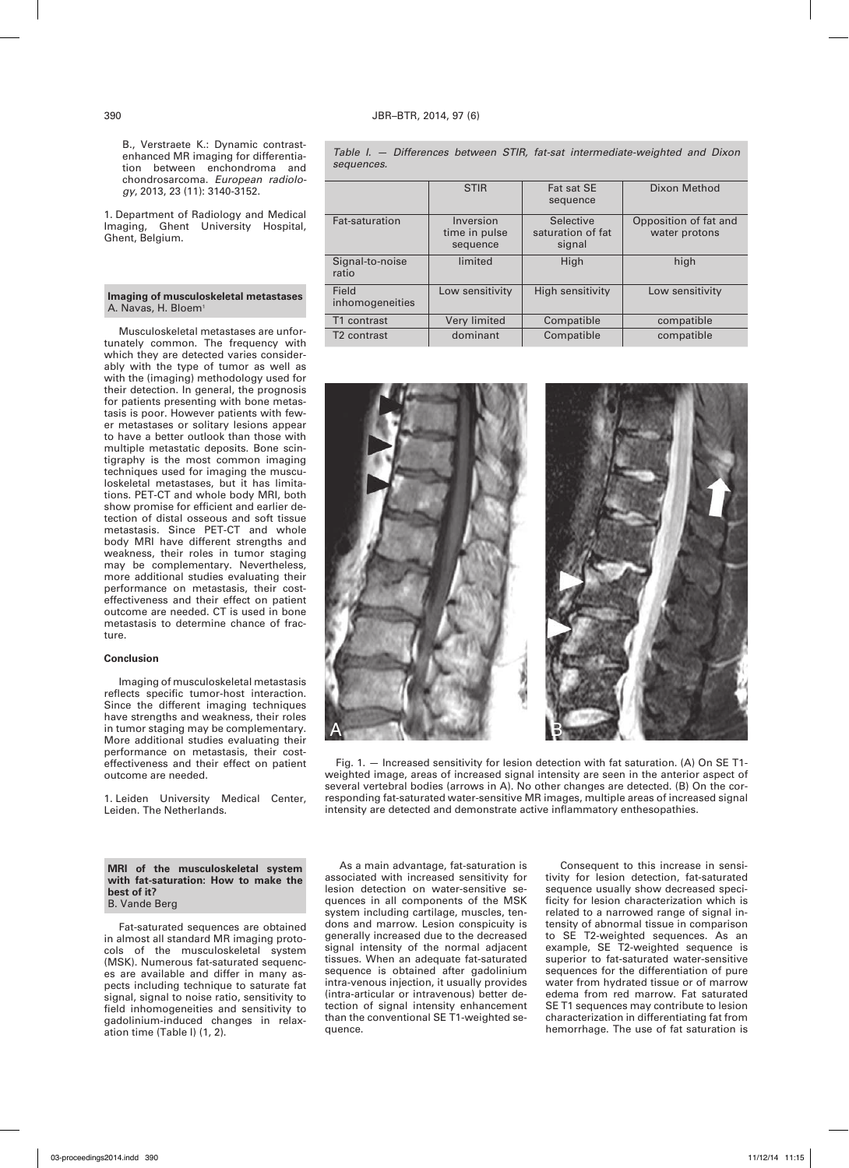B., Verstraete K.: Dynamic contrastenhanced MR imaging for differentiation between enchondroma and chondrosarcoma. *European radiology*, 2013, 23 (11): 3140-3152.

1. Department of Radiology and Medical Imaging, Ghent University Hospital, Ghent, Belgium.

## **Imaging of musculoskeletal metastases** A. Navas, H. Bloem<sup>1</sup>

Musculoskeletal metastases are unfortunately common. The frequency with which they are detected varies considerably with the type of tumor as well as with the (imaging) methodology used for their detection. In general, the prognosis for patients presenting with bone metastasis is poor. However patients with fewer metastases or solitary lesions appear to have a better outlook than those with multiple metastatic deposits. Bone scintigraphy is the most common imaging techniques used for imaging the musculoskeletal metastases, but it has limitations. PET-CT and whole body MRI, both show promise for efficient and earlier detection of distal osseous and soft tissue metastasis. Since PET-CT and whole body MRI have different strengths and weakness, their roles in tumor staging may be complementary. Nevertheless, more additional studies evaluating their performance on metastasis, their costeffectiveness and their effect on patient outcome are needed. CT is used in bone metastasis to determine chance of fracture.

### **Conclusion**

Imaging of musculoskeletal metastasis reflects specific tumor-host interaction. Since the different imaging techniques have strengths and weakness, their roles in tumor staging may be complementary. More additional studies evaluating their performance on metastasis, their costeffectiveness and their effect on patient outcome are needed.

1. Leiden University Medical Center, Leiden. The Netherlands.

## **MRI of the musculoskeletal system with fat-saturation: How to make the best of it?** B. Vande Berg

Fat-saturated sequences are obtained in almost all standard MR imaging protocols of the musculoskeletal system (MSK). Numerous fat-saturated sequences are available and differ in many aspects including technique to saturate fat signal, signal to noise ratio, sensitivity to field inhomogeneities and sensitivity to gadolinium-induced changes in relaxation time (Table I) (1, 2).

*Table I. — Differences between STIR, fat-sat intermediate-weighted and Dixon sequences.*

|                          | <b>STIR</b>                            | Fat sat SE<br>sequence                   | Dixon Method                           |
|--------------------------|----------------------------------------|------------------------------------------|----------------------------------------|
| Fat-saturation           | Inversion<br>time in pulse<br>sequence | Selective<br>saturation of fat<br>signal | Opposition of fat and<br>water protons |
| Signal-to-noise<br>ratio | limited                                | High                                     | high                                   |
| Field<br>inhomogeneities | Low sensitivity                        | High sensitivity                         | Low sensitivity                        |
| T1 contrast              | Very limited                           | Compatible                               | compatible                             |
| T <sub>2</sub> contrast  | dominant                               | Compatible                               | compatible                             |



Fig. 1. — Increased sensitivity for lesion detection with fat saturation. (A) On SE T1 weighted image, areas of increased signal intensity are seen in the anterior aspect of several vertebral bodies (arrows in A). No other changes are detected. (B) On the corresponding fat-saturated water-sensitive MR images, multiple areas of increased signal intensity are detected and demonstrate active inflammatory enthesopathies.

As a main advantage, fat-saturation is associated with increased sensitivity for lesion detection on water-sensitive sequences in all components of the MSK system including cartilage, muscles, tendons and marrow. Lesion conspicuity is generally increased due to the decreased signal intensity of the normal adjacent tissues. When an adequate fat-saturated sequence is obtained after gadolinium intra-venous injection, it usually provides (intra-articular or intravenous) better detection of signal intensity enhancement than the conventional SE T1-weighted sequence.

Consequent to this increase in sensitivity for lesion detection, fat-saturated sequence usually show decreased specificity for lesion characterization which is related to a narrowed range of signal intensity of abnormal tissue in comparison to SE T2-weighted sequences. As an example, SE T2-weighted sequence is superior to fat-saturated water-sensitive sequences for the differentiation of pure water from hydrated tissue or of marrow edema from red marrow. Fat saturated SE T1 sequences may contribute to lesion characterization in differentiating fat from hemorrhage. The use of fat saturation is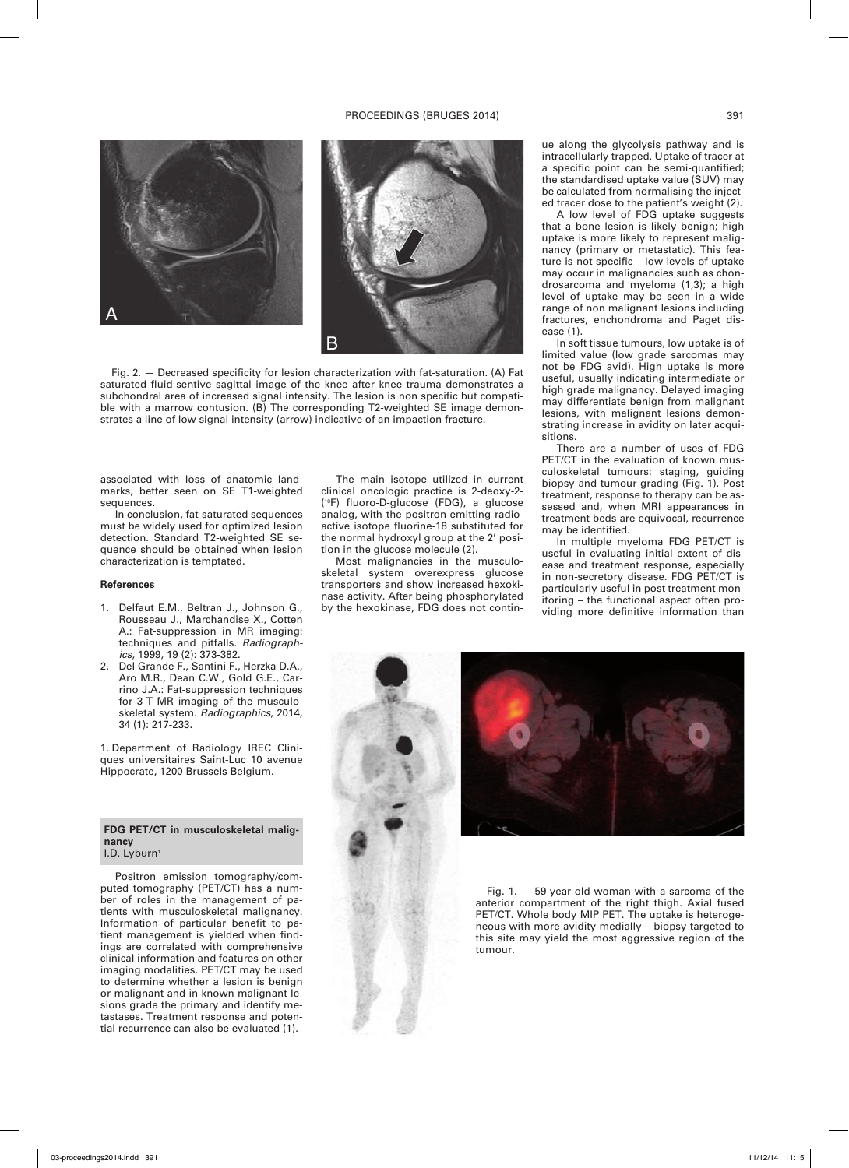## PROCEEDINGS (BRUGES 2014) 391



Fig. 2. — Decreased specificity for lesion characterization with fat-saturation. (A) Fat saturated fluid-sentive sagittal image of the knee after knee trauma demonstrates a subchondral area of increased signal intensity. The lesion is non specific but compatible with a marrow contusion. (B) The corresponding T2-weighted SE image demonstrates a line of low signal intensity (arrow) indicative of an impaction fracture.

associated with loss of anatomic landmarks, better seen on SE T1-weighted sequences.

In conclusion, fat-saturated sequences must be widely used for optimized lesion detection. Standard T2-weighted SE sequence should be obtained when lesion characterization is temptated.

## **References**

- 1. Delfaut E.M., Beltran J., Johnson G., Rousseau J., Marchandise X., Cotten A.: Fat-suppression in MR imaging: techniques and pitfalls. *Radiographics*, 1999, 19 (2): 373-382.
- 2. Del Grande F., Santini F., Herzka D.A., Aro M.R., Dean C.W., Gold G.E., Carrino J.A.: Fat-suppression techniques for 3-T MR imaging of the musculoskeletal system. *Radiographics*, 2014, 34 (1): 217-233.

1. Department of Radiology IREC Cliniques universitaires Saint-Luc 10 avenue Hippocrate, 1200 Brussels Belgium.

## **FDG PET/CT in musculoskeletal malignancy** I.D. Lyburn<sup>1</sup>

Positron emission tomography/computed tomography (PET/CT) has a number of roles in the management of patients with musculoskeletal malignancy. Information of particular benefit to patient management is yielded when findings are correlated with comprehensive clinical information and features on other imaging modalities. PET/CT may be used to determine whether a lesion is benign or malignant and in known malignant lesions grade the primary and identify metastases. Treatment response and potential recurrence can also be evaluated (1).

The main isotope utilized in current clinical oncologic practice is 2-deoxy-2- (18F) fluoro-D-glucose (FDG), a glucose analog, with the positron-emitting radioactive isotope fluorine-18 substituted for the normal hydroxyl group at the 2' position in the glucose molecule (2).

Most malignancies in the musculoskeletal system overexpress glucose transporters and show increased hexokinase activity. After being phosphorylated by the hexokinase, FDG does not continue along the glycolysis pathway and is intracellularly trapped. Uptake of tracer at a specific point can be semi-quantified; the standardised uptake value (SUV) may be calculated from normalising the injected tracer dose to the patient's weight (2).

A low level of FDG uptake suggests that a bone lesion is likely benign; high uptake is more likely to represent malignancy (primary or metastatic). This feature is not specific – low levels of uptake may occur in malignancies such as chondrosarcoma and myeloma (1,3); a high level of uptake may be seen in a wide range of non malignant lesions including fractures, enchondroma and Paget disease (1).

In soft tissue tumours, low uptake is of limited value (low grade sarcomas may not be FDG avid). High uptake is more useful, usually indicating intermediate or high grade malignancy. Delayed imaging may differentiate benign from malignant lesions, with malignant lesions demonstrating increase in avidity on later acquisitions.

There are a number of uses of FDG PET/CT in the evaluation of known musculoskeletal tumours: staging, guiding biopsy and tumour grading (Fig. 1). Post treatment, response to therapy can be assessed and, when MRI appearances in treatment beds are equivocal, recurrence may be identified.

In multiple myeloma FDG PET/CT is useful in evaluating initial extent of disease and treatment response, especially in non-secretory disease. FDG PET/CT is particularly useful in post treatment monitoring – the functional aspect often providing more definitive information than



Fig.  $1. - 59$ -year-old woman with a sarcoma of the anterior compartment of the right thigh. Axial fused PET/CT. Whole body MIP PET. The uptake is heterogeneous with more avidity medially – biopsy targeted to this site may yield the most aggressive region of the tumour.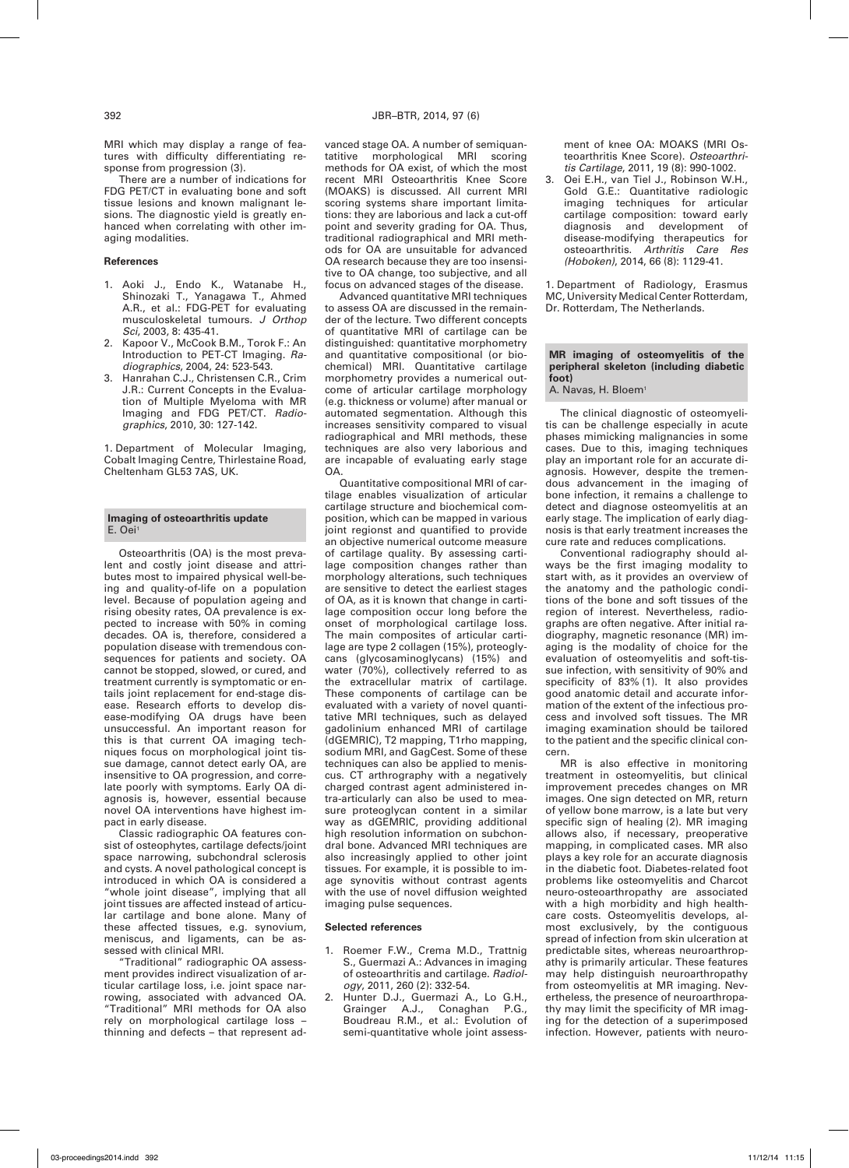There are a number of indications for FDG PET/CT in evaluating bone and soft tissue lesions and known malignant lesions. The diagnostic yield is greatly enhanced when correlating with other imaging modalities.

#### **References**

- 1. Aoki J., Endo K., Watanabe H., Shinozaki T., Yanagawa T., Ahmed A.R., et al.: FDG-PET for evaluating musculoskeletal tumours. *J Orthop Sci*, 2003, 8: 435-41.
- Kapoor V., McCook B.M., Torok F.: An Introduction to PET-CT Imaging. *Radiographics*, 2004, 24: 523-543.
- 3. Hanrahan C.J., Christensen C.R., Crim J.R.: Current Concepts in the Evaluation of Multiple Myeloma with MR Imaging and FDG PET/CT. *Radiographics*, 2010, 30: 127-142.

1. Department of Molecular Imaging, Cobalt Imaging Centre, Thirlestaine Road, Cheltenham GL53 7AS, UK.

## **Imaging of osteoarthritis update** E. Oei1

Osteoarthritis (OA) is the most prevalent and costly joint disease and attributes most to impaired physical well-being and quality-of-life on a population level. Because of population ageing and rising obesity rates, OA prevalence is expected to increase with 50% in coming decades. OA is, therefore, considered a population disease with tremendous consequences for patients and society. OA cannot be stopped, slowed, or cured, and treatment currently is symptomatic or entails joint replacement for end-stage disease. Research efforts to develop disease-modifying OA drugs have been unsuccessful. An important reason for this is that current OA imaging techniques focus on morphological joint tissue damage, cannot detect early OA, are insensitive to OA progression, and correlate poorly with symptoms. Early OA diagnosis is, however, essential because novel OA interventions have highest impact in early disease.

Classic radiographic OA features consist of osteophytes, cartilage defects/joint space narrowing, subchondral sclerosis and cysts. A novel pathological concept is introduced in which OA is considered a "whole joint disease", implying that all joint tissues are affected instead of articular cartilage and bone alone. Many of these affected tissues, e.g. synovium, meniscus, and ligaments, can be assessed with clinical MRI.

"Traditional" radiographic OA assessment provides indirect visualization of articular cartilage loss, i.e. joint space narrowing, associated with advanced OA. "Traditional" MRI methods for OA also rely on morphological cartilage loss – thinning and defects – that represent advanced stage OA. A number of semiquantatitive morphological MRI scoring methods for OA exist, of which the most recent MRI Osteoarthritis Knee Score (MOAKS) is discussed. All current MRI scoring systems share important limitations: they are laborious and lack a cut-off point and severity grading for OA. Thus, traditional radiographical and MRI methods for OA are unsuitable for advanced OA research because they are too insensitive to OA change, too subjective, and all focus on advanced stages of the disease.

Advanced quantitative MRI techniques to assess OA are discussed in the remainder of the lecture. Two different concepts of quantitative MRI of cartilage can be distinguished: quantitative morphometry and quantitative compositional (or biochemical) MRI. Quantitative cartilage morphometry provides a numerical outcome of articular cartilage morphology (e.g. thickness or volume) after manual or automated segmentation. Although this increases sensitivity compared to visual radiographical and MRI methods, these techniques are also very laborious and are incapable of evaluating early stage OA.

Quantitative compositional MRI of cartilage enables visualization of articular cartilage structure and biochemical composition, which can be mapped in various joint regionst and quantified to provide an objective numerical outcome measure of cartilage quality. By assessing cartilage composition changes rather than morphology alterations, such techniques are sensitive to detect the earliest stages of OA, as it is known that change in cartilage composition occur long before the onset of morphological cartilage loss. The main composites of articular cartilage are type 2 collagen (15%), proteoglycans (glycosaminoglycans) (15%) and water (70%), collectively referred to as the extracellular matrix of cartilage. These components of cartilage can be evaluated with a variety of novel quantitative MRI techniques, such as delayed gadolinium enhanced MRI of cartilage (dGEMRIC), T2 mapping, T1rho mapping, sodium MRI, and GagCest. Some of these techniques can also be applied to meniscus. CT arthrography with a negatively charged contrast agent administered intra-articularly can also be used to measure proteoglycan content in a similar way as dGEMRIC, providing additional high resolution information on subchondral bone. Advanced MRI techniques are also increasingly applied to other joint tissues. For example, it is possible to image synovitis without contrast agents with the use of novel diffusion weighted imaging pulse sequences.

#### **Selected references**

- 1. Roemer F.W., Crema M.D., Trattnig S., Guermazi A.: Advances in imaging of osteoarthritis and cartilage. *Radiology*, 2011, 260 (2): 332-54.
- 2. Hunter D.J., Guermazi A., Lo G.H., Grainger A.J., Conaghan P.G., Boudreau R.M., et al.: Evolution of semi-quantitative whole joint assess-

ment of knee OA: MOAKS (MRI Osteoarthritis Knee Score). *Osteoarthritis Cartilage*, 2011, 19 (8): 990-1002.

3. Oei E.H., van Tiel J., Robinson W.H., Gold G.E.: Quantitative radiologic imaging techniques for articular cartilage composition: toward early<br>diagnosis and development of diagnosis and development disease-modifying therapeutics for osteoarthritis. *Arthritis Care Res (Hoboken)*, 2014, 66 (8): 1129-41.

1. Department of Radiology, Erasmus MC, University Medical Center Rotterdam, Dr. Rotterdam, The Netherlands.

#### **MR imaging of osteomyelitis of the peripheral skeleton (including diabetic foot)**

A. Navas, H. Bloem<sup>1</sup>

The clinical diagnostic of osteomyelitis can be challenge especially in acute phases mimicking malignancies in some cases. Due to this, imaging techniques play an important role for an accurate diagnosis. However, despite the tremendous advancement in the imaging of bone infection, it remains a challenge to detect and diagnose osteomyelitis at an early stage. The implication of early diagnosis is that early treatment increases the cure rate and reduces complications.

Conventional radiography should always be the first imaging modality to start with, as it provides an overview of the anatomy and the pathologic conditions of the bone and soft tissues of the region of interest. Nevertheless, radiographs are often negative. After initial radiography, magnetic resonance (MR) imaging is the modality of choice for the evaluation of osteomyelitis and soft-tissue infection, with sensitivity of 90% and specificity of 83% (1). It also provides good anatomic detail and accurate information of the extent of the infectious process and involved soft tissues. The MR imaging examination should be tailored to the patient and the specific clinical concern.

MR is also effective in monitoring treatment in osteomyelitis, but clinical improvement precedes changes on MR images. One sign detected on MR, return of yellow bone marrow, is a late but very specific sign of healing (2). MR imaging allows also, if necessary, preoperative mapping, in complicated cases. MR also plays a key role for an accurate diagnosis in the diabetic foot. Diabetes-related foot problems like osteomyelitis and Charcot neuro-osteoarthropathy are associated with a high morbidity and high healthcare costs. Osteomyelitis develops, almost exclusively, by the contiguous spread of infection from skin ulceration at predictable sites, whereas neuroarthropathy is primarily articular. These features may help distinguish neuroarthropathy from osteomvelitis at MR imaging. Nevertheless, the presence of neuroarthropathy may limit the specificity of MR imaging for the detection of a superimposed infection. However, patients with neuro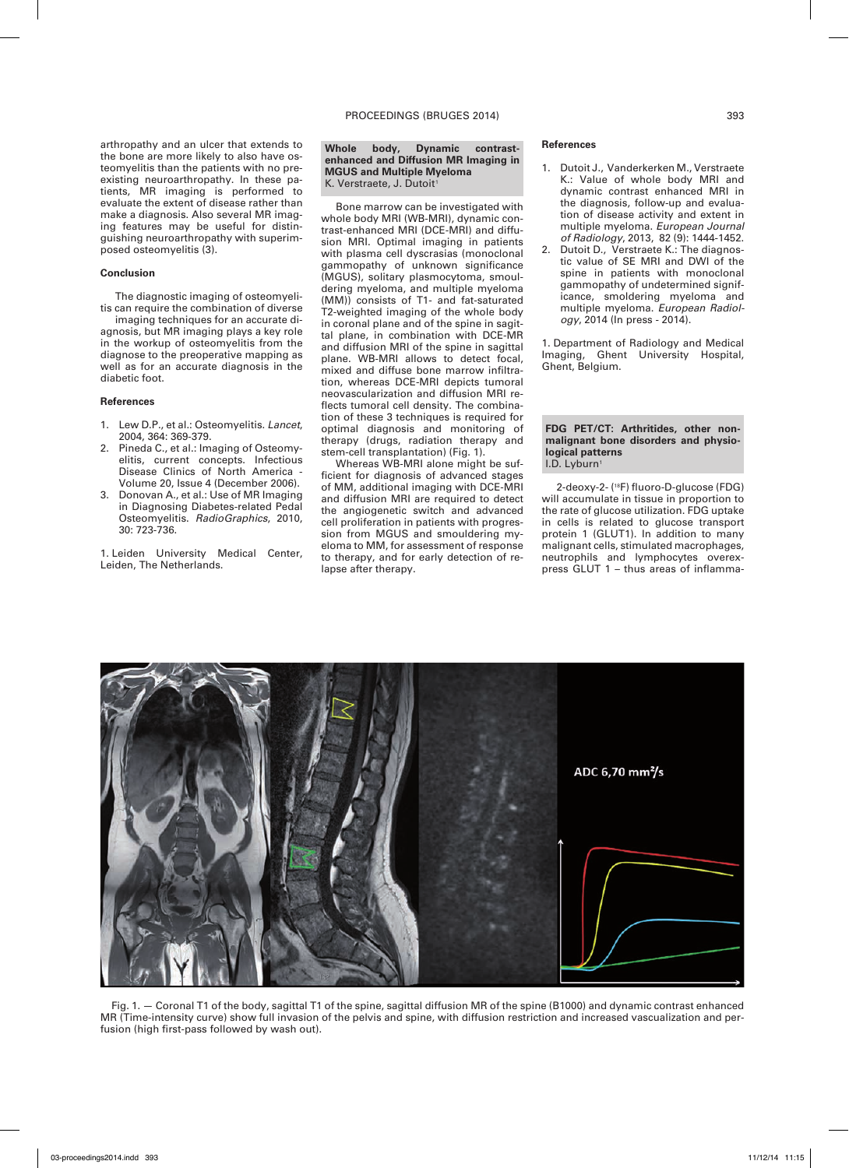arthropathy and an ulcer that extends to the bone are more likely to also have osteomyelitis than the patients with no preexisting neuroarthropathy. In these patients, MR imaging is performed to evaluate the extent of disease rather than make a diagnosis. Also several MR imaging features may be useful for distinguishing neuroarthropathy with superimposed osteomyelitis (3).

## **Conclusion**

The diagnostic imaging of osteomyelitis can require the combination of diverse

imaging techniques for an accurate diagnosis, but MR imaging plays a key role in the workup of osteomyelitis from the diagnose to the preoperative mapping as well as for an accurate diagnosis in the diabetic foot.

## **References**

- 1. Lew D.P., et al.: Osteomyelitis. *Lancet*, 2004, 364: 369-379.
- 2. Pineda C., et al.: Imaging of Osteomyelitis, current concepts. Infectious Disease Clinics of North America - Volume 20, Issue 4 (December 2006).
- 3. Donovan A*.*, et al.: Use of MR Imaging in Diagnosing Diabetes-related Pedal Osteomyelitis. *RadioGraphics*, 2010, 30: 723-736.

1. Leiden University Medical Center, Leiden, The Netherlands.

#### **Whole body, Dynamic contrastenhanced and Diffusion MR Imaging in MGUS and Multiple Myeloma** K. Verstraete, J. Dutoit1

Bone marrow can be investigated with whole body MRI (WB-MRI), dynamic contrast-enhanced MRI (DCE-MRI) and diffusion MRI. Optimal imaging in patients with plasma cell dyscrasias (monoclonal gammopathy of unknown significance (MGUS), solitary plasmocytoma, smouldering myeloma, and multiple myeloma (MM)) consists of T1- and fat-saturated T2-weighted imaging of the whole body in coronal plane and of the spine in sagittal plane, in combination with DCE-MR and diffusion MRI of the spine in sagittal plane. WB-MRI allows to detect focal, mixed and diffuse bone marrow infiltration, whereas DCE-MRI depicts tumoral neovascularization and diffusion MRI reflects tumoral cell density. The combination of these 3 techniques is required for optimal diagnosis and monitoring of therapy (drugs, radiation therapy and stem-cell transplantation) (Fig. 1).

Whereas WB-MRI alone might be sufficient for diagnosis of advanced stages of MM, additional imaging with DCE-MRI and diffusion MRI are required to detect the angiogenetic switch and advanced cell proliferation in patients with progression from MGUS and smouldering myeloma to MM, for assessment of response to therapy, and for early detection of relapse after therapy.

#### **References**

- 1. Dutoit J., Vanderkerken M., Verstraete K.: Value of whole body MRI and dynamic contrast enhanced MRI in the diagnosis, follow-up and evaluation of disease activity and extent in multiple myeloma. *European Journal of Radiology*, 2013, 82 (9): 1444-1452.
- 2. Dutoit D., Verstraete K.: The diagnostic value of SE MRI and DWI of the spine in patients with monoclonal gammopathy of undetermined significance, smoldering myeloma and multiple myeloma. *European Radiology*, 2014 (In press - 2014).

1. Department of Radiology and Medical Imaging, Ghent University Hospital, Ghent, Belgium.

### **FDG PET/CT: Arthritides, other nonmalignant bone disorders and physiological patterns** I.D. Lyburn<sup>1</sup>

2-deoxy-2- (18F) fluoro-D-glucose (FDG) will accumulate in tissue in proportion to the rate of glucose utilization. FDG uptake in cells is related to glucose transport protein 1 (GLUT1). In addition to many malignant cells, stimulated macrophages, neutrophils and lymphocytes overexpress GLUT 1 – thus areas of inflamma-



Fig. 1. — Coronal T1 of the body, sagittal T1 of the spine, sagittal diffusion MR of the spine (B1000) and dynamic contrast enhanced MR (Time-intensity curve) show full invasion of the pelvis and spine, with diffusion restriction and increased vascualization and perfusion (high first-pass followed by wash out).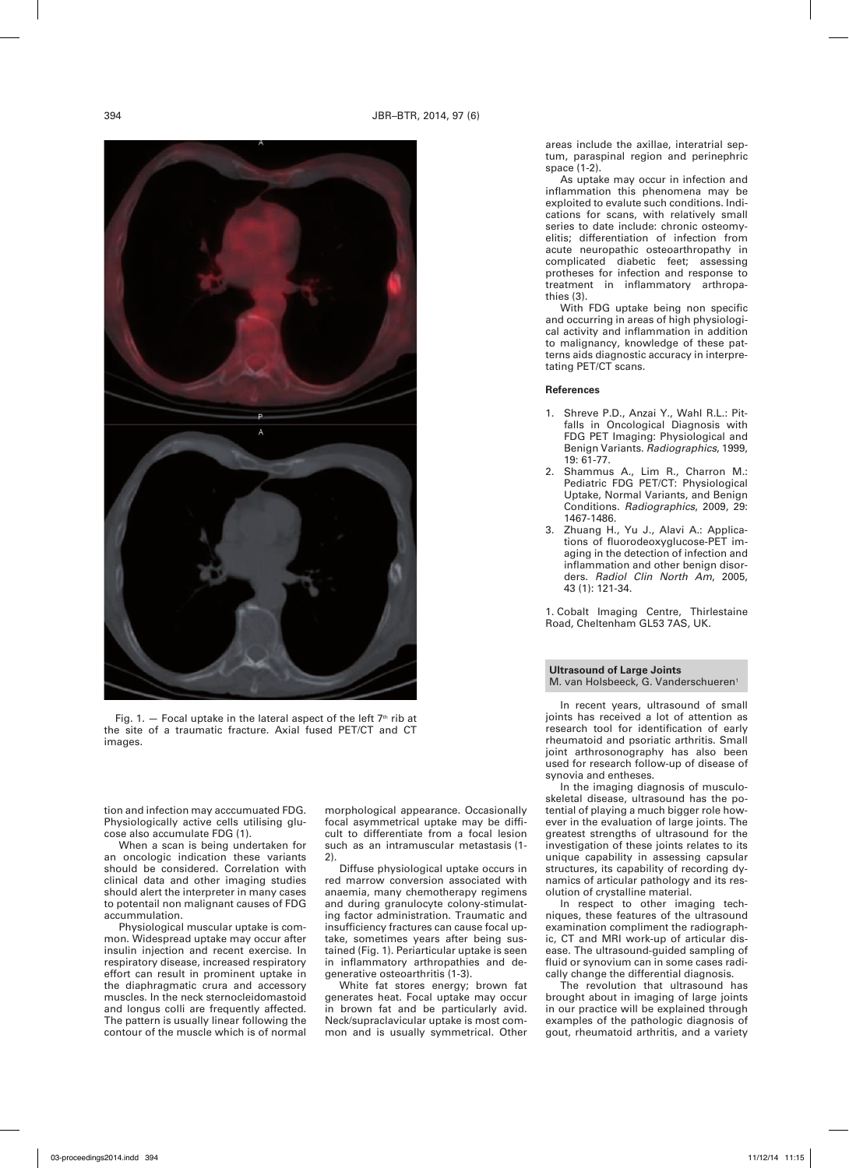

Fig. 1.  $-$  Focal uptake in the lateral aspect of the left  $7<sup>th</sup>$  rib at the site of a traumatic fracture. Axial fused PET/CT and CT images.

tion and infection may acccumuated FDG. Physiologically active cells utilising glucose also accumulate FDG (1).

When a scan is being undertaken for an oncologic indication these variants should be considered. Correlation with clinical data and other imaging studies should alert the interpreter in many cases to potentail non malignant causes of FDG accummulation.

Physiological muscular uptake is common. Widespread uptake may occur after insulin injection and recent exercise. In respiratory disease, increased respiratory effort can result in prominent uptake in the diaphragmatic crura and accessory muscles. In the neck sternocleidomastoid and longus colli are frequently affected. The pattern is usually linear following the contour of the muscle which is of normal morphological appearance. Occasionally focal asymmetrical uptake may be difficult to differentiate from a focal lesion such as an intramuscular metastasis (1- 2).

Diffuse physiological uptake occurs in red marrow conversion associated with anaemia, many chemotherapy regimens and during granulocyte colony-stimulating factor administration. Traumatic and insufficiency fractures can cause focal uptake, sometimes years after being sustained (Fig. 1). Periarticular uptake is seen in inflammatory arthropathies and degenerative osteoarthritis (1-3).

White fat stores energy; brown fat generates heat. Focal uptake may occur in brown fat and be particularly avid. Neck/supraclavicular uptake is most common and is usually symmetrical. Other

areas include the axillae, interatrial septum, paraspinal region and perinephric space (1-2).

As uptake may occur in infection and inflammation this phenomena may be exploited to evalute such conditions. Indications for scans, with relatively small series to date include: chronic osteomyelitis; differentiation of infection from acute neuropathic osteoarthropathy in complicated diabetic feet; assessing protheses for infection and response to treatment in inflammatory arthropathies (3).

With FDG uptake being non specific and occurring in areas of high physiological activity and inflammation in addition to malignancy, knowledge of these patterns aids diagnostic accuracy in interpretating PET/CT scans.

## **References**

- 1. Shreve P.D., Anzai Y., Wahl R.L.: Pitfalls in Oncological Diagnosis with FDG PET Imaging: Physiological and Benign Variants. *Radiographics*, 1999, 19: 61-77.
- 2. Shammus A., Lim R., Charron M.: Pediatric FDG PET/CT: Physiological Uptake, Normal Variants, and Benign Conditions. *Radiographics*, 2009, 29: 1467-1486.
- 3. Zhuang H., Yu J., Alavi A.: Applications of fluorodeoxyglucose-PET imaging in the detection of infection and inflammation and other benign disorders. *Radiol Clin North Am*, 2005, 43 (1): 121-34.

1. Cobalt Imaging Centre, Thirlestaine Road, Cheltenham GL53 7AS, UK.

**Ultrasound of Large Joints** M. van Holsbeeck, G. Vanderschueren<sup>1</sup>

In recent years, ultrasound of small joints has received a lot of attention as research tool for identification of early rheumatoid and psoriatic arthritis. Small joint arthrosonography has also been used for research follow-up of disease of synovia and entheses.

In the imaging diagnosis of musculoskeletal disease, ultrasound has the potential of playing a much bigger role however in the evaluation of large joints. The greatest strengths of ultrasound for the investigation of these joints relates to its unique capability in assessing capsular structures, its capability of recording dynamics of articular pathology and its resolution of crystalline material.

In respect to other imaging techniques, these features of the ultrasound examination compliment the radiographic, CT and MRI work-up of articular disease. The ultrasound-guided sampling of fluid or synovium can in some cases radically change the differential diagnosis.

The revolution that ultrasound has brought about in imaging of large joints in our practice will be explained through examples of the pathologic diagnosis of gout, rheumatoid arthritis, and a variety